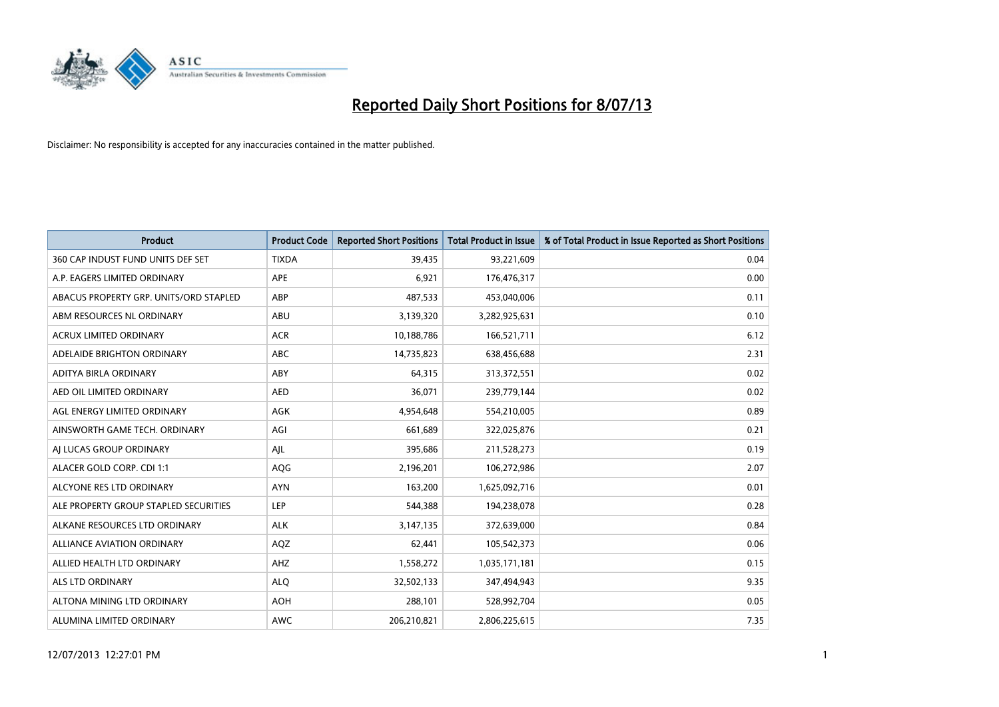

| <b>Product</b>                         | <b>Product Code</b> | <b>Reported Short Positions</b> | <b>Total Product in Issue</b> | % of Total Product in Issue Reported as Short Positions |
|----------------------------------------|---------------------|---------------------------------|-------------------------------|---------------------------------------------------------|
| 360 CAP INDUST FUND UNITS DEF SET      | <b>TIXDA</b>        | 39,435                          | 93,221,609                    | 0.04                                                    |
| A.P. EAGERS LIMITED ORDINARY           | <b>APE</b>          | 6,921                           | 176,476,317                   | 0.00                                                    |
| ABACUS PROPERTY GRP. UNITS/ORD STAPLED | ABP                 | 487,533                         | 453,040,006                   | 0.11                                                    |
| ABM RESOURCES NL ORDINARY              | ABU                 | 3,139,320                       | 3,282,925,631                 | 0.10                                                    |
| <b>ACRUX LIMITED ORDINARY</b>          | <b>ACR</b>          | 10,188,786                      | 166,521,711                   | 6.12                                                    |
| ADELAIDE BRIGHTON ORDINARY             | <b>ABC</b>          | 14,735,823                      | 638,456,688                   | 2.31                                                    |
| ADITYA BIRLA ORDINARY                  | ABY                 | 64,315                          | 313,372,551                   | 0.02                                                    |
| AED OIL LIMITED ORDINARY               | <b>AED</b>          | 36,071                          | 239,779,144                   | 0.02                                                    |
| AGL ENERGY LIMITED ORDINARY            | AGK                 | 4,954,648                       | 554,210,005                   | 0.89                                                    |
| AINSWORTH GAME TECH. ORDINARY          | AGI                 | 661,689                         | 322,025,876                   | 0.21                                                    |
| AJ LUCAS GROUP ORDINARY                | AJL                 | 395,686                         | 211,528,273                   | 0.19                                                    |
| ALACER GOLD CORP. CDI 1:1              | AQG                 | 2,196,201                       | 106,272,986                   | 2.07                                                    |
| ALCYONE RES LTD ORDINARY               | <b>AYN</b>          | 163,200                         | 1,625,092,716                 | 0.01                                                    |
| ALE PROPERTY GROUP STAPLED SECURITIES  | LEP                 | 544,388                         | 194,238,078                   | 0.28                                                    |
| ALKANE RESOURCES LTD ORDINARY          | <b>ALK</b>          | 3,147,135                       | 372,639,000                   | 0.84                                                    |
| ALLIANCE AVIATION ORDINARY             | AQZ                 | 62,441                          | 105,542,373                   | 0.06                                                    |
| ALLIED HEALTH LTD ORDINARY             | AHZ                 | 1,558,272                       | 1,035,171,181                 | 0.15                                                    |
| <b>ALS LTD ORDINARY</b>                | <b>ALQ</b>          | 32,502,133                      | 347,494,943                   | 9.35                                                    |
| ALTONA MINING LTD ORDINARY             | <b>AOH</b>          | 288,101                         | 528,992,704                   | 0.05                                                    |
| ALUMINA LIMITED ORDINARY               | AWC                 | 206,210,821                     | 2,806,225,615                 | 7.35                                                    |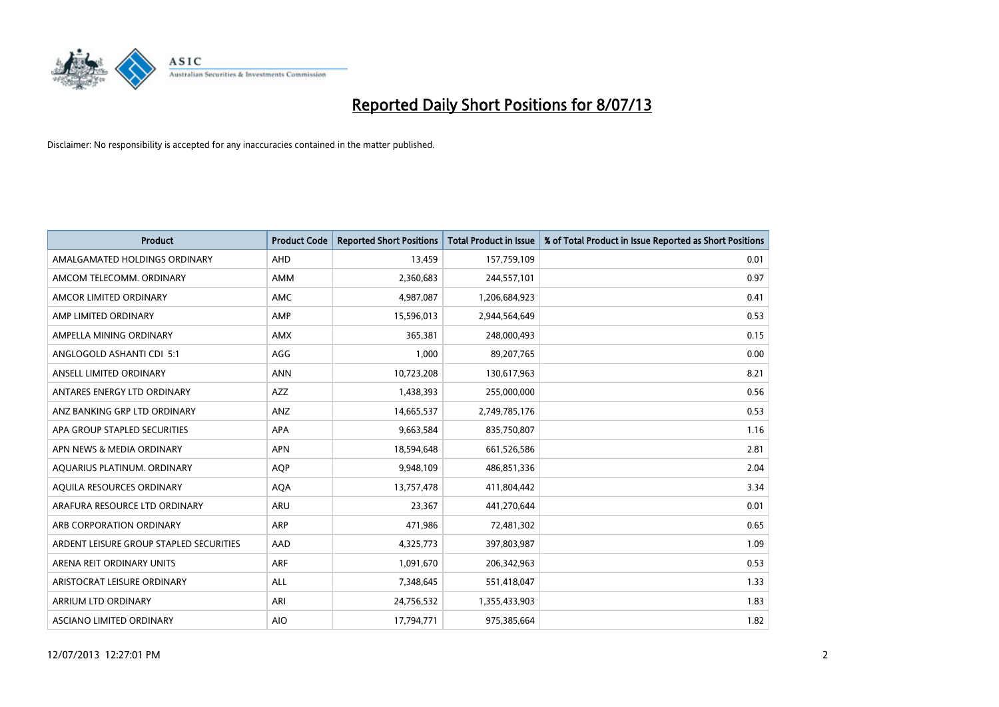

| <b>Product</b>                          | <b>Product Code</b> | <b>Reported Short Positions</b> | <b>Total Product in Issue</b> | % of Total Product in Issue Reported as Short Positions |
|-----------------------------------------|---------------------|---------------------------------|-------------------------------|---------------------------------------------------------|
| AMALGAMATED HOLDINGS ORDINARY           | AHD                 | 13,459                          | 157,759,109                   | 0.01                                                    |
| AMCOM TELECOMM. ORDINARY                | AMM                 | 2,360,683                       | 244,557,101                   | 0.97                                                    |
| AMCOR LIMITED ORDINARY                  | <b>AMC</b>          | 4,987,087                       | 1,206,684,923                 | 0.41                                                    |
| AMP LIMITED ORDINARY                    | AMP                 | 15,596,013                      | 2,944,564,649                 | 0.53                                                    |
| AMPELLA MINING ORDINARY                 | <b>AMX</b>          | 365,381                         | 248,000,493                   | 0.15                                                    |
| ANGLOGOLD ASHANTI CDI 5:1               | AGG                 | 1,000                           | 89,207,765                    | 0.00                                                    |
| ANSELL LIMITED ORDINARY                 | <b>ANN</b>          | 10,723,208                      | 130,617,963                   | 8.21                                                    |
| ANTARES ENERGY LTD ORDINARY             | AZZ                 | 1,438,393                       | 255,000,000                   | 0.56                                                    |
| ANZ BANKING GRP LTD ORDINARY            | ANZ                 | 14,665,537                      | 2,749,785,176                 | 0.53                                                    |
| APA GROUP STAPLED SECURITIES            | <b>APA</b>          | 9,663,584                       | 835,750,807                   | 1.16                                                    |
| APN NEWS & MEDIA ORDINARY               | <b>APN</b>          | 18,594,648                      | 661,526,586                   | 2.81                                                    |
| AQUARIUS PLATINUM. ORDINARY             | <b>AOP</b>          | 9,948,109                       | 486,851,336                   | 2.04                                                    |
| AQUILA RESOURCES ORDINARY               | <b>AQA</b>          | 13,757,478                      | 411,804,442                   | 3.34                                                    |
| ARAFURA RESOURCE LTD ORDINARY           | ARU                 | 23,367                          | 441,270,644                   | 0.01                                                    |
| ARB CORPORATION ORDINARY                | ARP                 | 471,986                         | 72,481,302                    | 0.65                                                    |
| ARDENT LEISURE GROUP STAPLED SECURITIES | AAD                 | 4,325,773                       | 397,803,987                   | 1.09                                                    |
| ARENA REIT ORDINARY UNITS               | <b>ARF</b>          | 1,091,670                       | 206,342,963                   | 0.53                                                    |
| ARISTOCRAT LEISURE ORDINARY             | <b>ALL</b>          | 7,348,645                       | 551,418,047                   | 1.33                                                    |
| ARRIUM LTD ORDINARY                     | ARI                 | 24,756,532                      | 1,355,433,903                 | 1.83                                                    |
| ASCIANO LIMITED ORDINARY                | <b>AIO</b>          | 17,794,771                      | 975,385,664                   | 1.82                                                    |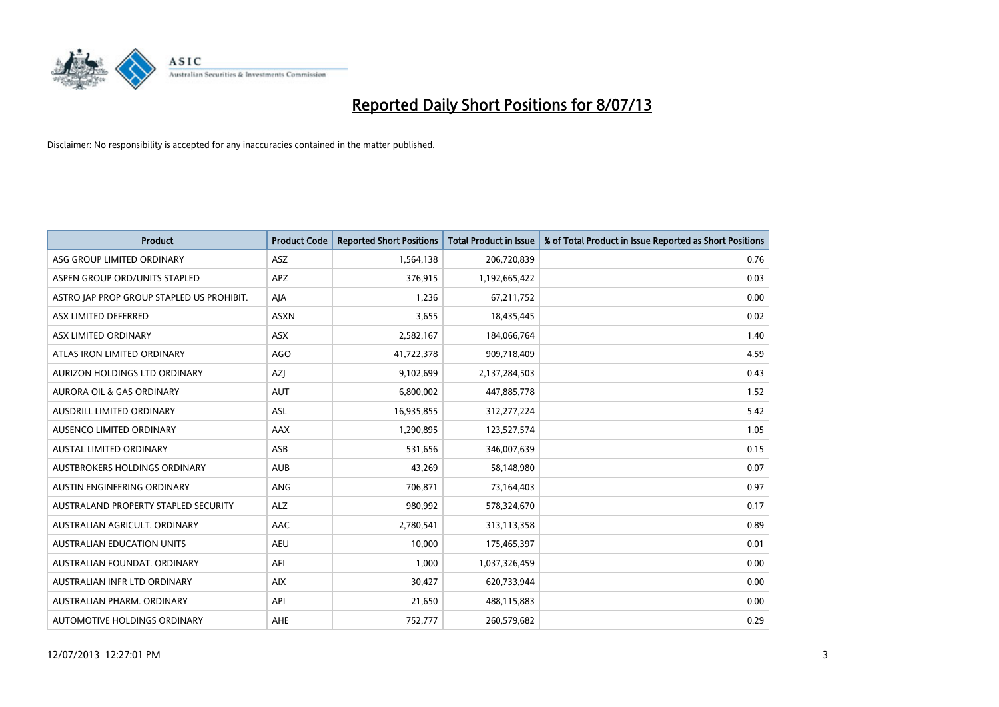

| <b>Product</b>                            | <b>Product Code</b> | <b>Reported Short Positions</b> | <b>Total Product in Issue</b> | % of Total Product in Issue Reported as Short Positions |
|-------------------------------------------|---------------------|---------------------------------|-------------------------------|---------------------------------------------------------|
| ASG GROUP LIMITED ORDINARY                | ASZ                 | 1,564,138                       | 206,720,839                   | 0.76                                                    |
| ASPEN GROUP ORD/UNITS STAPLED             | APZ                 | 376,915                         | 1,192,665,422                 | 0.03                                                    |
| ASTRO JAP PROP GROUP STAPLED US PROHIBIT. | AJA                 | 1,236                           | 67,211,752                    | 0.00                                                    |
| ASX LIMITED DEFERRED                      | <b>ASXN</b>         | 3,655                           | 18,435,445                    | 0.02                                                    |
| ASX LIMITED ORDINARY                      | ASX                 | 2,582,167                       | 184,066,764                   | 1.40                                                    |
| ATLAS IRON LIMITED ORDINARY               | <b>AGO</b>          | 41,722,378                      | 909,718,409                   | 4.59                                                    |
| AURIZON HOLDINGS LTD ORDINARY             | AZJ                 | 9,102,699                       | 2,137,284,503                 | 0.43                                                    |
| AURORA OIL & GAS ORDINARY                 | <b>AUT</b>          | 6,800,002                       | 447,885,778                   | 1.52                                                    |
| AUSDRILL LIMITED ORDINARY                 | ASL                 | 16,935,855                      | 312,277,224                   | 5.42                                                    |
| AUSENCO LIMITED ORDINARY                  | AAX                 | 1,290,895                       | 123,527,574                   | 1.05                                                    |
| <b>AUSTAL LIMITED ORDINARY</b>            | ASB                 | 531,656                         | 346,007,639                   | 0.15                                                    |
| AUSTBROKERS HOLDINGS ORDINARY             | <b>AUB</b>          | 43,269                          | 58,148,980                    | 0.07                                                    |
| AUSTIN ENGINEERING ORDINARY               | ANG                 | 706,871                         | 73,164,403                    | 0.97                                                    |
| AUSTRALAND PROPERTY STAPLED SECURITY      | <b>ALZ</b>          | 980,992                         | 578,324,670                   | 0.17                                                    |
| AUSTRALIAN AGRICULT, ORDINARY             | AAC                 | 2,780,541                       | 313,113,358                   | 0.89                                                    |
| <b>AUSTRALIAN EDUCATION UNITS</b>         | <b>AEU</b>          | 10,000                          | 175,465,397                   | 0.01                                                    |
| AUSTRALIAN FOUNDAT, ORDINARY              | AFI                 | 1,000                           | 1,037,326,459                 | 0.00                                                    |
| AUSTRALIAN INFR LTD ORDINARY              | <b>AIX</b>          | 30,427                          | 620,733,944                   | 0.00                                                    |
| AUSTRALIAN PHARM, ORDINARY                | API                 | 21,650                          | 488,115,883                   | 0.00                                                    |
| AUTOMOTIVE HOLDINGS ORDINARY              | AHE                 | 752,777                         | 260,579,682                   | 0.29                                                    |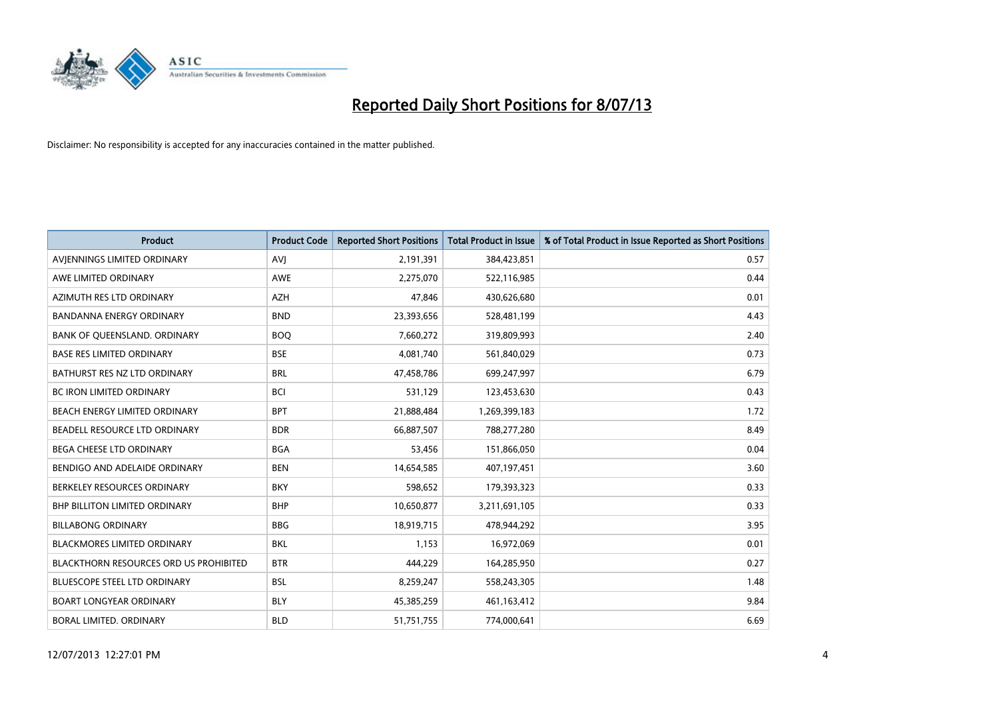

| <b>Product</b>                                | <b>Product Code</b> | <b>Reported Short Positions</b> | <b>Total Product in Issue</b> | % of Total Product in Issue Reported as Short Positions |
|-----------------------------------------------|---------------------|---------------------------------|-------------------------------|---------------------------------------------------------|
| AVIENNINGS LIMITED ORDINARY                   | <b>AVJ</b>          | 2,191,391                       | 384,423,851                   | 0.57                                                    |
| AWE LIMITED ORDINARY                          | AWE                 | 2,275,070                       | 522,116,985                   | 0.44                                                    |
| AZIMUTH RES LTD ORDINARY                      | <b>AZH</b>          | 47,846                          | 430,626,680                   | 0.01                                                    |
| BANDANNA ENERGY ORDINARY                      | <b>BND</b>          | 23,393,656                      | 528,481,199                   | 4.43                                                    |
| BANK OF QUEENSLAND. ORDINARY                  | <b>BOQ</b>          | 7,660,272                       | 319,809,993                   | 2.40                                                    |
| <b>BASE RES LIMITED ORDINARY</b>              | <b>BSE</b>          | 4,081,740                       | 561,840,029                   | 0.73                                                    |
| BATHURST RES NZ LTD ORDINARY                  | <b>BRL</b>          | 47,458,786                      | 699,247,997                   | 6.79                                                    |
| <b>BC IRON LIMITED ORDINARY</b>               | <b>BCI</b>          | 531,129                         | 123,453,630                   | 0.43                                                    |
| BEACH ENERGY LIMITED ORDINARY                 | <b>BPT</b>          | 21,888,484                      | 1,269,399,183                 | 1.72                                                    |
| BEADELL RESOURCE LTD ORDINARY                 | <b>BDR</b>          | 66,887,507                      | 788,277,280                   | 8.49                                                    |
| <b>BEGA CHEESE LTD ORDINARY</b>               | <b>BGA</b>          | 53,456                          | 151,866,050                   | 0.04                                                    |
| BENDIGO AND ADELAIDE ORDINARY                 | <b>BEN</b>          | 14,654,585                      | 407,197,451                   | 3.60                                                    |
| BERKELEY RESOURCES ORDINARY                   | <b>BKY</b>          | 598,652                         | 179,393,323                   | 0.33                                                    |
| <b>BHP BILLITON LIMITED ORDINARY</b>          | <b>BHP</b>          | 10,650,877                      | 3,211,691,105                 | 0.33                                                    |
| <b>BILLABONG ORDINARY</b>                     | <b>BBG</b>          | 18,919,715                      | 478,944,292                   | 3.95                                                    |
| <b>BLACKMORES LIMITED ORDINARY</b>            | <b>BKL</b>          | 1.153                           | 16,972,069                    | 0.01                                                    |
| <b>BLACKTHORN RESOURCES ORD US PROHIBITED</b> | <b>BTR</b>          | 444,229                         | 164,285,950                   | 0.27                                                    |
| BLUESCOPE STEEL LTD ORDINARY                  | <b>BSL</b>          | 8,259,247                       | 558,243,305                   | 1.48                                                    |
| <b>BOART LONGYEAR ORDINARY</b>                | <b>BLY</b>          | 45,385,259                      | 461,163,412                   | 9.84                                                    |
| BORAL LIMITED. ORDINARY                       | <b>BLD</b>          | 51,751,755                      | 774,000,641                   | 6.69                                                    |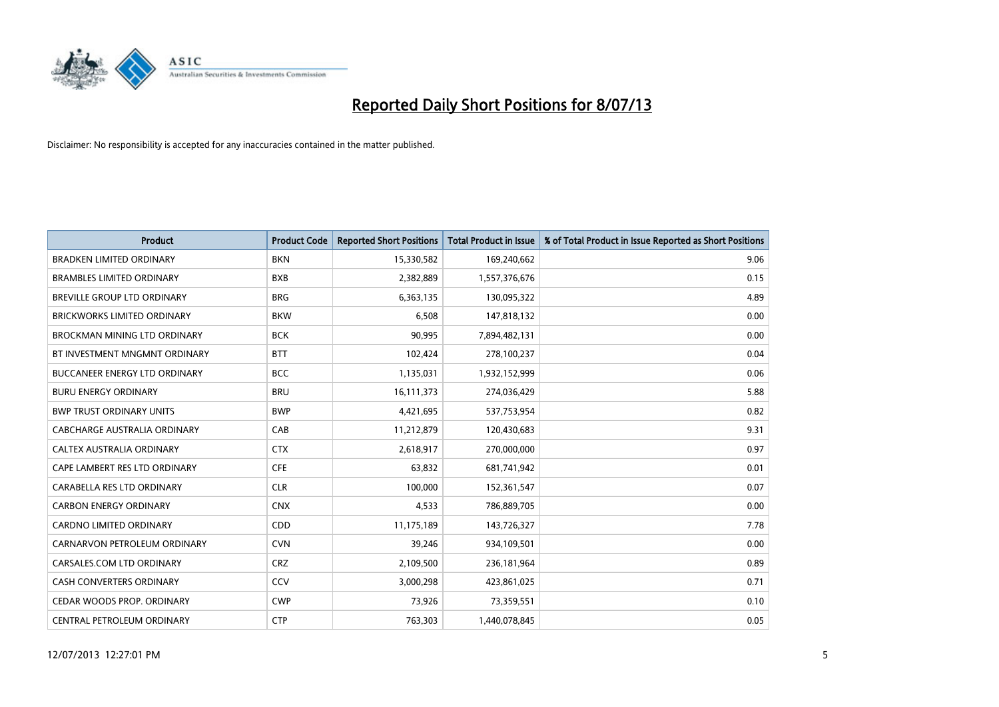

| <b>Product</b>                       | <b>Product Code</b> | <b>Reported Short Positions</b> | <b>Total Product in Issue</b> | % of Total Product in Issue Reported as Short Positions |
|--------------------------------------|---------------------|---------------------------------|-------------------------------|---------------------------------------------------------|
| <b>BRADKEN LIMITED ORDINARY</b>      | <b>BKN</b>          | 15,330,582                      | 169,240,662                   | 9.06                                                    |
| <b>BRAMBLES LIMITED ORDINARY</b>     | <b>BXB</b>          | 2,382,889                       | 1,557,376,676                 | 0.15                                                    |
| BREVILLE GROUP LTD ORDINARY          | <b>BRG</b>          | 6,363,135                       | 130,095,322                   | 4.89                                                    |
| <b>BRICKWORKS LIMITED ORDINARY</b>   | <b>BKW</b>          | 6,508                           | 147,818,132                   | 0.00                                                    |
| BROCKMAN MINING LTD ORDINARY         | <b>BCK</b>          | 90,995                          | 7,894,482,131                 | 0.00                                                    |
| BT INVESTMENT MNGMNT ORDINARY        | <b>BTT</b>          | 102,424                         | 278,100,237                   | 0.04                                                    |
| <b>BUCCANEER ENERGY LTD ORDINARY</b> | <b>BCC</b>          | 1,135,031                       | 1,932,152,999                 | 0.06                                                    |
| <b>BURU ENERGY ORDINARY</b>          | <b>BRU</b>          | 16,111,373                      | 274,036,429                   | 5.88                                                    |
| <b>BWP TRUST ORDINARY UNITS</b>      | <b>BWP</b>          | 4,421,695                       | 537,753,954                   | 0.82                                                    |
| CABCHARGE AUSTRALIA ORDINARY         | CAB                 | 11,212,879                      | 120,430,683                   | 9.31                                                    |
| CALTEX AUSTRALIA ORDINARY            | <b>CTX</b>          | 2,618,917                       | 270,000,000                   | 0.97                                                    |
| CAPE LAMBERT RES LTD ORDINARY        | <b>CFE</b>          | 63,832                          | 681,741,942                   | 0.01                                                    |
| CARABELLA RES LTD ORDINARY           | <b>CLR</b>          | 100,000                         | 152,361,547                   | 0.07                                                    |
| <b>CARBON ENERGY ORDINARY</b>        | <b>CNX</b>          | 4,533                           | 786,889,705                   | 0.00                                                    |
| <b>CARDNO LIMITED ORDINARY</b>       | CDD                 | 11,175,189                      | 143,726,327                   | 7.78                                                    |
| CARNARVON PETROLEUM ORDINARY         | <b>CVN</b>          | 39,246                          | 934,109,501                   | 0.00                                                    |
| CARSALES.COM LTD ORDINARY            | <b>CRZ</b>          | 2,109,500                       | 236,181,964                   | 0.89                                                    |
| CASH CONVERTERS ORDINARY             | CCV                 | 3,000,298                       | 423,861,025                   | 0.71                                                    |
| CEDAR WOODS PROP. ORDINARY           | <b>CWP</b>          | 73,926                          | 73,359,551                    | 0.10                                                    |
| CENTRAL PETROLEUM ORDINARY           | <b>CTP</b>          | 763,303                         | 1,440,078,845                 | 0.05                                                    |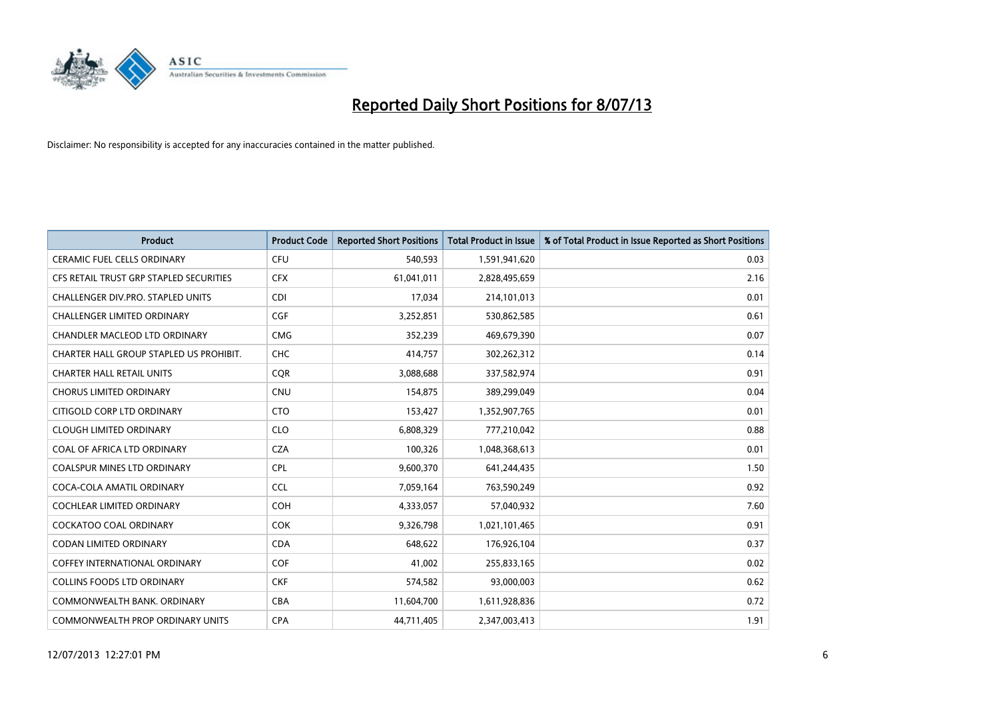

| <b>Product</b>                          | <b>Product Code</b> | <b>Reported Short Positions</b> | <b>Total Product in Issue</b> | % of Total Product in Issue Reported as Short Positions |
|-----------------------------------------|---------------------|---------------------------------|-------------------------------|---------------------------------------------------------|
| <b>CERAMIC FUEL CELLS ORDINARY</b>      | <b>CFU</b>          | 540,593                         | 1,591,941,620                 | 0.03                                                    |
| CFS RETAIL TRUST GRP STAPLED SECURITIES | <b>CFX</b>          | 61,041,011                      | 2,828,495,659                 | 2.16                                                    |
| CHALLENGER DIV.PRO. STAPLED UNITS       | <b>CDI</b>          | 17,034                          | 214,101,013                   | 0.01                                                    |
| CHALLENGER LIMITED ORDINARY             | <b>CGF</b>          | 3,252,851                       | 530,862,585                   | 0.61                                                    |
| <b>CHANDLER MACLEOD LTD ORDINARY</b>    | <b>CMG</b>          | 352,239                         | 469,679,390                   | 0.07                                                    |
| CHARTER HALL GROUP STAPLED US PROHIBIT. | <b>CHC</b>          | 414,757                         | 302,262,312                   | 0.14                                                    |
| <b>CHARTER HALL RETAIL UNITS</b>        | <b>CQR</b>          | 3,088,688                       | 337,582,974                   | 0.91                                                    |
| <b>CHORUS LIMITED ORDINARY</b>          | <b>CNU</b>          | 154,875                         | 389,299,049                   | 0.04                                                    |
| CITIGOLD CORP LTD ORDINARY              | <b>CTO</b>          | 153,427                         | 1,352,907,765                 | 0.01                                                    |
| <b>CLOUGH LIMITED ORDINARY</b>          | <b>CLO</b>          | 6,808,329                       | 777,210,042                   | 0.88                                                    |
| COAL OF AFRICA LTD ORDINARY             | <b>CZA</b>          | 100,326                         | 1,048,368,613                 | 0.01                                                    |
| <b>COALSPUR MINES LTD ORDINARY</b>      | <b>CPL</b>          | 9,600,370                       | 641,244,435                   | 1.50                                                    |
| COCA-COLA AMATIL ORDINARY               | <b>CCL</b>          | 7,059,164                       | 763,590,249                   | 0.92                                                    |
| <b>COCHLEAR LIMITED ORDINARY</b>        | <b>COH</b>          | 4,333,057                       | 57,040,932                    | 7.60                                                    |
| <b>COCKATOO COAL ORDINARY</b>           | <b>COK</b>          | 9,326,798                       | 1,021,101,465                 | 0.91                                                    |
| <b>CODAN LIMITED ORDINARY</b>           | <b>CDA</b>          | 648,622                         | 176,926,104                   | 0.37                                                    |
| <b>COFFEY INTERNATIONAL ORDINARY</b>    | <b>COF</b>          | 41,002                          | 255,833,165                   | 0.02                                                    |
| <b>COLLINS FOODS LTD ORDINARY</b>       | <b>CKF</b>          | 574,582                         | 93,000,003                    | 0.62                                                    |
| COMMONWEALTH BANK, ORDINARY             | <b>CBA</b>          | 11,604,700                      | 1,611,928,836                 | 0.72                                                    |
| COMMONWEALTH PROP ORDINARY UNITS        | <b>CPA</b>          | 44,711,405                      | 2,347,003,413                 | 1.91                                                    |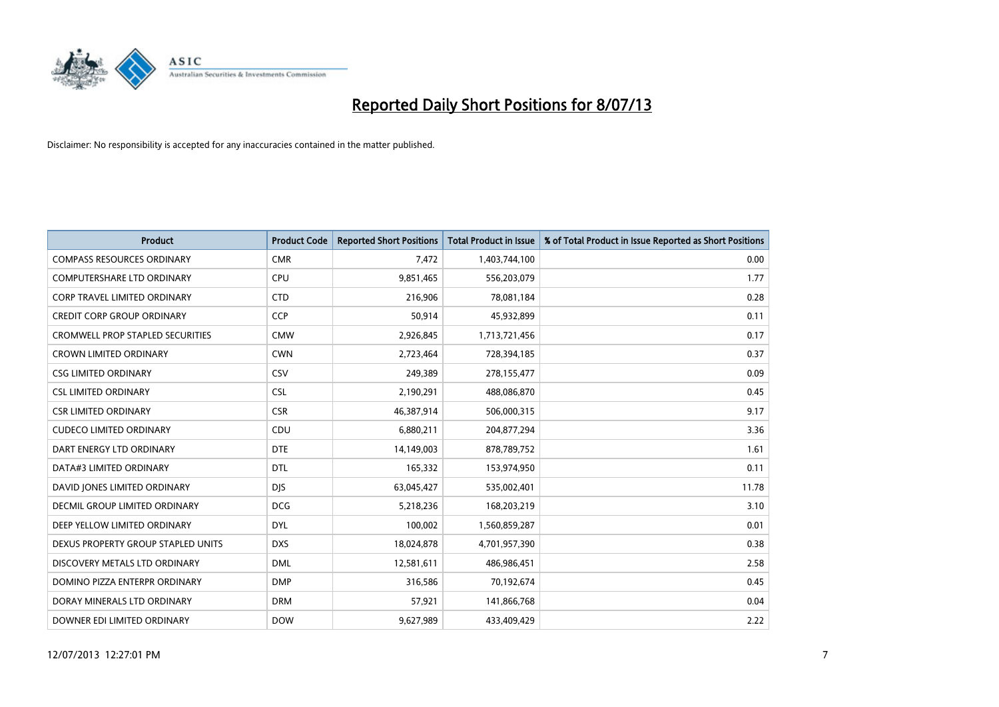

| <b>Product</b>                          | <b>Product Code</b> | <b>Reported Short Positions</b> | <b>Total Product in Issue</b> | % of Total Product in Issue Reported as Short Positions |
|-----------------------------------------|---------------------|---------------------------------|-------------------------------|---------------------------------------------------------|
| <b>COMPASS RESOURCES ORDINARY</b>       | <b>CMR</b>          | 7,472                           | 1,403,744,100                 | 0.00                                                    |
| COMPUTERSHARE LTD ORDINARY              | <b>CPU</b>          | 9,851,465                       | 556,203,079                   | 1.77                                                    |
| CORP TRAVEL LIMITED ORDINARY            | <b>CTD</b>          | 216,906                         | 78,081,184                    | 0.28                                                    |
| <b>CREDIT CORP GROUP ORDINARY</b>       | <b>CCP</b>          | 50,914                          | 45,932,899                    | 0.11                                                    |
| <b>CROMWELL PROP STAPLED SECURITIES</b> | <b>CMW</b>          | 2,926,845                       | 1,713,721,456                 | 0.17                                                    |
| <b>CROWN LIMITED ORDINARY</b>           | <b>CWN</b>          | 2,723,464                       | 728,394,185                   | 0.37                                                    |
| <b>CSG LIMITED ORDINARY</b>             | CSV                 | 249,389                         | 278,155,477                   | 0.09                                                    |
| <b>CSL LIMITED ORDINARY</b>             | <b>CSL</b>          | 2,190,291                       | 488,086,870                   | 0.45                                                    |
| <b>CSR LIMITED ORDINARY</b>             | <b>CSR</b>          | 46,387,914                      | 506,000,315                   | 9.17                                                    |
| <b>CUDECO LIMITED ORDINARY</b>          | CDU                 | 6,880,211                       | 204,877,294                   | 3.36                                                    |
| DART ENERGY LTD ORDINARY                | <b>DTE</b>          | 14,149,003                      | 878,789,752                   | 1.61                                                    |
| DATA#3 LIMITED ORDINARY                 | DTL                 | 165,332                         | 153,974,950                   | 0.11                                                    |
| DAVID JONES LIMITED ORDINARY            | <b>DJS</b>          | 63,045,427                      | 535,002,401                   | 11.78                                                   |
| <b>DECMIL GROUP LIMITED ORDINARY</b>    | <b>DCG</b>          | 5,218,236                       | 168,203,219                   | 3.10                                                    |
| DEEP YELLOW LIMITED ORDINARY            | <b>DYL</b>          | 100,002                         | 1,560,859,287                 | 0.01                                                    |
| DEXUS PROPERTY GROUP STAPLED UNITS      | <b>DXS</b>          | 18,024,878                      | 4,701,957,390                 | 0.38                                                    |
| DISCOVERY METALS LTD ORDINARY           | <b>DML</b>          | 12,581,611                      | 486,986,451                   | 2.58                                                    |
| DOMINO PIZZA ENTERPR ORDINARY           | <b>DMP</b>          | 316,586                         | 70,192,674                    | 0.45                                                    |
| DORAY MINERALS LTD ORDINARY             | <b>DRM</b>          | 57,921                          | 141,866,768                   | 0.04                                                    |
| DOWNER EDI LIMITED ORDINARY             | <b>DOW</b>          | 9,627,989                       | 433,409,429                   | 2.22                                                    |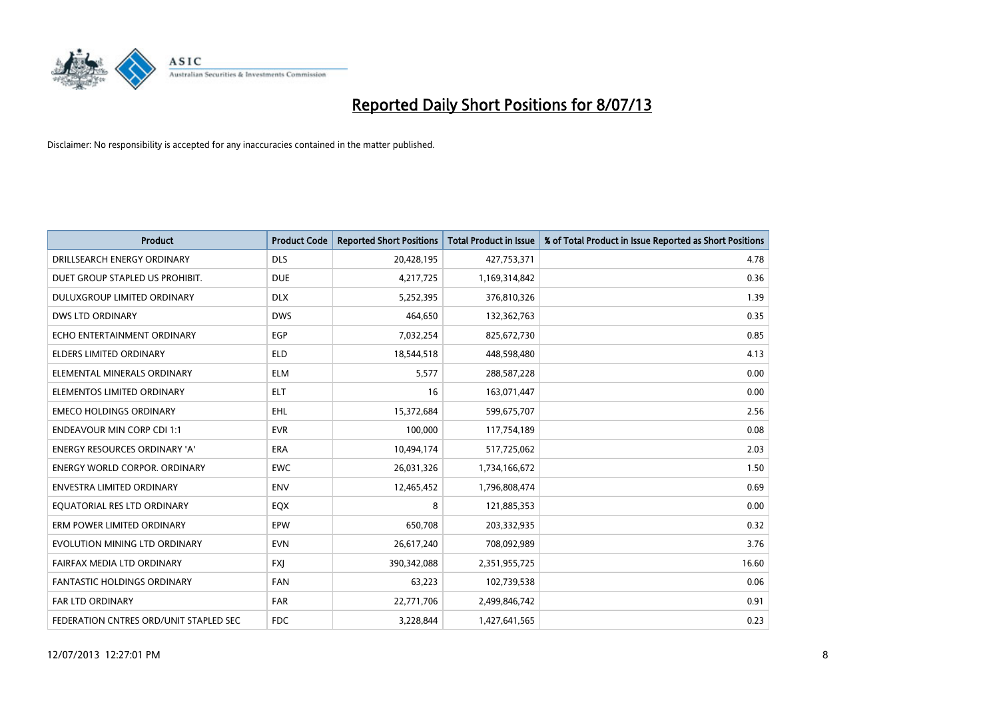

| <b>Product</b>                         | <b>Product Code</b> | <b>Reported Short Positions</b> | <b>Total Product in Issue</b> | % of Total Product in Issue Reported as Short Positions |
|----------------------------------------|---------------------|---------------------------------|-------------------------------|---------------------------------------------------------|
| DRILLSEARCH ENERGY ORDINARY            | <b>DLS</b>          | 20,428,195                      | 427,753,371                   | 4.78                                                    |
| DUET GROUP STAPLED US PROHIBIT.        | <b>DUE</b>          | 4,217,725                       | 1,169,314,842                 | 0.36                                                    |
| <b>DULUXGROUP LIMITED ORDINARY</b>     | <b>DLX</b>          | 5,252,395                       | 376,810,326                   | 1.39                                                    |
| DWS LTD ORDINARY                       | <b>DWS</b>          | 464,650                         | 132,362,763                   | 0.35                                                    |
| ECHO ENTERTAINMENT ORDINARY            | EGP                 | 7,032,254                       | 825,672,730                   | 0.85                                                    |
| <b>ELDERS LIMITED ORDINARY</b>         | <b>ELD</b>          | 18,544,518                      | 448,598,480                   | 4.13                                                    |
| ELEMENTAL MINERALS ORDINARY            | <b>ELM</b>          | 5,577                           | 288,587,228                   | 0.00                                                    |
| ELEMENTOS LIMITED ORDINARY             | <b>ELT</b>          | 16                              | 163,071,447                   | 0.00                                                    |
| <b>EMECO HOLDINGS ORDINARY</b>         | <b>EHL</b>          | 15,372,684                      | 599,675,707                   | 2.56                                                    |
| <b>ENDEAVOUR MIN CORP CDI 1:1</b>      | <b>EVR</b>          | 100,000                         | 117,754,189                   | 0.08                                                    |
| <b>ENERGY RESOURCES ORDINARY 'A'</b>   | <b>ERA</b>          | 10,494,174                      | 517,725,062                   | 2.03                                                    |
| <b>ENERGY WORLD CORPOR, ORDINARY</b>   | <b>EWC</b>          | 26,031,326                      | 1,734,166,672                 | 1.50                                                    |
| <b>ENVESTRA LIMITED ORDINARY</b>       | <b>ENV</b>          | 12,465,452                      | 1,796,808,474                 | 0.69                                                    |
| EQUATORIAL RES LTD ORDINARY            | EQX                 | 8                               | 121,885,353                   | 0.00                                                    |
| ERM POWER LIMITED ORDINARY             | EPW                 | 650,708                         | 203,332,935                   | 0.32                                                    |
| EVOLUTION MINING LTD ORDINARY          | <b>EVN</b>          | 26,617,240                      | 708,092,989                   | 3.76                                                    |
| FAIRFAX MEDIA LTD ORDINARY             | <b>FXJ</b>          | 390,342,088                     | 2,351,955,725                 | 16.60                                                   |
| FANTASTIC HOLDINGS ORDINARY            | <b>FAN</b>          | 63,223                          | 102,739,538                   | 0.06                                                    |
| <b>FAR LTD ORDINARY</b>                | <b>FAR</b>          | 22,771,706                      | 2,499,846,742                 | 0.91                                                    |
| FEDERATION CNTRES ORD/UNIT STAPLED SEC | <b>FDC</b>          | 3,228,844                       | 1,427,641,565                 | 0.23                                                    |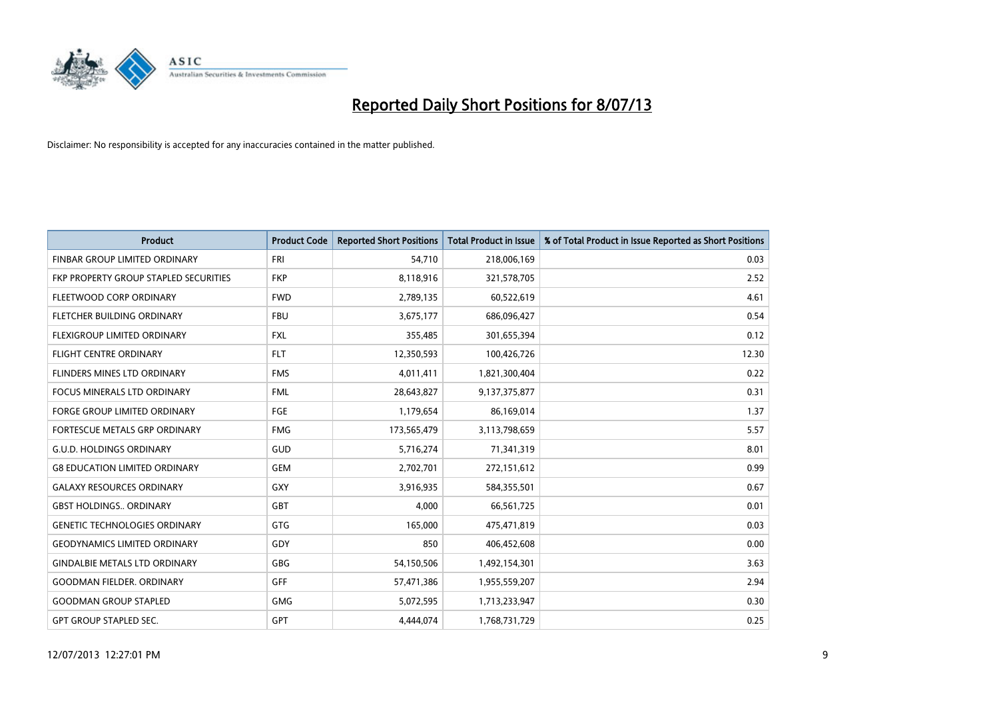

| <b>Product</b>                        | <b>Product Code</b> | <b>Reported Short Positions</b> | <b>Total Product in Issue</b> | % of Total Product in Issue Reported as Short Positions |
|---------------------------------------|---------------------|---------------------------------|-------------------------------|---------------------------------------------------------|
| FINBAR GROUP LIMITED ORDINARY         | <b>FRI</b>          | 54,710                          | 218,006,169                   | 0.03                                                    |
| FKP PROPERTY GROUP STAPLED SECURITIES | <b>FKP</b>          | 8,118,916                       | 321,578,705                   | 2.52                                                    |
| FLEETWOOD CORP ORDINARY               | <b>FWD</b>          | 2,789,135                       | 60,522,619                    | 4.61                                                    |
| FLETCHER BUILDING ORDINARY            | <b>FBU</b>          | 3,675,177                       | 686,096,427                   | 0.54                                                    |
| FLEXIGROUP LIMITED ORDINARY           | <b>FXL</b>          | 355,485                         | 301,655,394                   | 0.12                                                    |
| <b>FLIGHT CENTRE ORDINARY</b>         | <b>FLT</b>          | 12,350,593                      | 100,426,726                   | 12.30                                                   |
| FLINDERS MINES LTD ORDINARY           | <b>FMS</b>          | 4,011,411                       | 1,821,300,404                 | 0.22                                                    |
| FOCUS MINERALS LTD ORDINARY           | <b>FML</b>          | 28,643,827                      | 9,137,375,877                 | 0.31                                                    |
| FORGE GROUP LIMITED ORDINARY          | FGE                 | 1,179,654                       | 86,169,014                    | 1.37                                                    |
| FORTESCUE METALS GRP ORDINARY         | <b>FMG</b>          | 173,565,479                     | 3,113,798,659                 | 5.57                                                    |
| <b>G.U.D. HOLDINGS ORDINARY</b>       | GUD                 | 5,716,274                       | 71,341,319                    | 8.01                                                    |
| <b>G8 EDUCATION LIMITED ORDINARY</b>  | GEM                 | 2,702,701                       | 272,151,612                   | 0.99                                                    |
| <b>GALAXY RESOURCES ORDINARY</b>      | GXY                 | 3,916,935                       | 584,355,501                   | 0.67                                                    |
| <b>GBST HOLDINGS., ORDINARY</b>       | GBT                 | 4,000                           | 66,561,725                    | 0.01                                                    |
| <b>GENETIC TECHNOLOGIES ORDINARY</b>  | GTG                 | 165,000                         | 475,471,819                   | 0.03                                                    |
| <b>GEODYNAMICS LIMITED ORDINARY</b>   | GDY                 | 850                             | 406,452,608                   | 0.00                                                    |
| <b>GINDALBIE METALS LTD ORDINARY</b>  | GBG                 | 54,150,506                      | 1,492,154,301                 | 3.63                                                    |
| <b>GOODMAN FIELDER, ORDINARY</b>      | <b>GFF</b>          | 57,471,386                      | 1,955,559,207                 | 2.94                                                    |
| <b>GOODMAN GROUP STAPLED</b>          | <b>GMG</b>          | 5,072,595                       | 1,713,233,947                 | 0.30                                                    |
| <b>GPT GROUP STAPLED SEC.</b>         | <b>GPT</b>          | 4,444,074                       | 1,768,731,729                 | 0.25                                                    |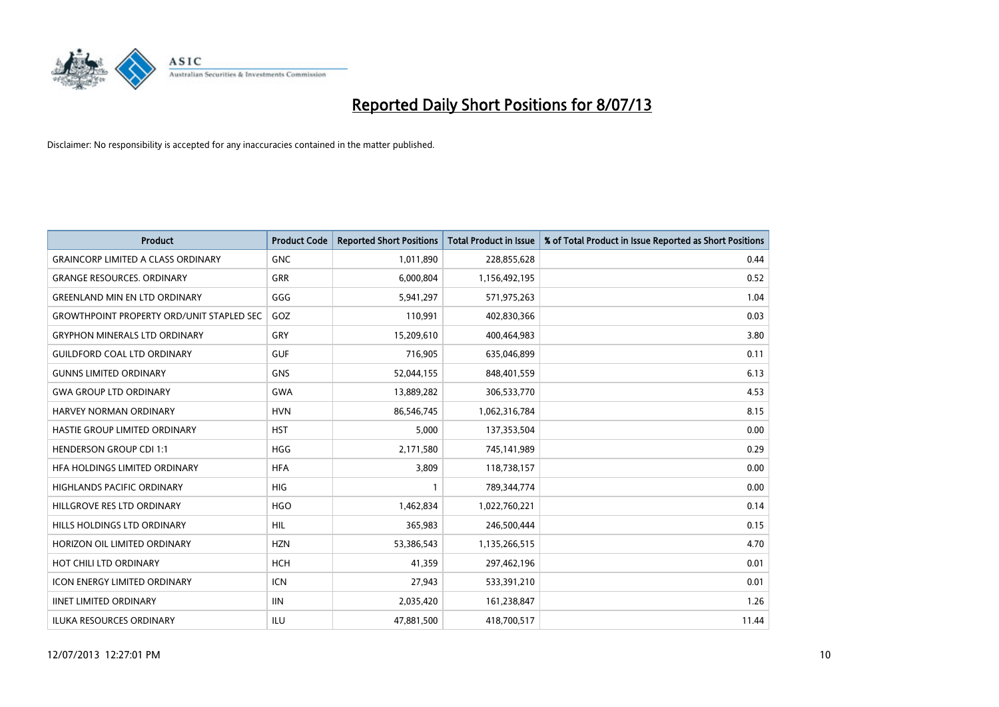

| <b>Product</b>                                   | <b>Product Code</b> | <b>Reported Short Positions</b> | <b>Total Product in Issue</b> | % of Total Product in Issue Reported as Short Positions |
|--------------------------------------------------|---------------------|---------------------------------|-------------------------------|---------------------------------------------------------|
| <b>GRAINCORP LIMITED A CLASS ORDINARY</b>        | <b>GNC</b>          | 1,011,890                       | 228,855,628                   | 0.44                                                    |
| <b>GRANGE RESOURCES, ORDINARY</b>                | <b>GRR</b>          | 6,000,804                       | 1,156,492,195                 | 0.52                                                    |
| <b>GREENLAND MIN EN LTD ORDINARY</b>             | GGG                 | 5,941,297                       | 571,975,263                   | 1.04                                                    |
| <b>GROWTHPOINT PROPERTY ORD/UNIT STAPLED SEC</b> | GOZ                 | 110,991                         | 402,830,366                   | 0.03                                                    |
| <b>GRYPHON MINERALS LTD ORDINARY</b>             | GRY                 | 15,209,610                      | 400,464,983                   | 3.80                                                    |
| <b>GUILDFORD COAL LTD ORDINARY</b>               | <b>GUF</b>          | 716,905                         | 635,046,899                   | 0.11                                                    |
| <b>GUNNS LIMITED ORDINARY</b>                    | <b>GNS</b>          | 52,044,155                      | 848,401,559                   | 6.13                                                    |
| <b>GWA GROUP LTD ORDINARY</b>                    | <b>GWA</b>          | 13,889,282                      | 306,533,770                   | 4.53                                                    |
| <b>HARVEY NORMAN ORDINARY</b>                    | <b>HVN</b>          | 86,546,745                      | 1,062,316,784                 | 8.15                                                    |
| HASTIE GROUP LIMITED ORDINARY                    | <b>HST</b>          | 5,000                           | 137,353,504                   | 0.00                                                    |
| <b>HENDERSON GROUP CDI 1:1</b>                   | <b>HGG</b>          | 2,171,580                       | 745,141,989                   | 0.29                                                    |
| HFA HOLDINGS LIMITED ORDINARY                    | <b>HFA</b>          | 3,809                           | 118,738,157                   | 0.00                                                    |
| <b>HIGHLANDS PACIFIC ORDINARY</b>                | <b>HIG</b>          | $\mathbf{1}$                    | 789,344,774                   | 0.00                                                    |
| HILLGROVE RES LTD ORDINARY                       | <b>HGO</b>          | 1,462,834                       | 1,022,760,221                 | 0.14                                                    |
| HILLS HOLDINGS LTD ORDINARY                      | HIL                 | 365,983                         | 246,500,444                   | 0.15                                                    |
| HORIZON OIL LIMITED ORDINARY                     | <b>HZN</b>          | 53,386,543                      | 1,135,266,515                 | 4.70                                                    |
| HOT CHILI LTD ORDINARY                           | <b>HCH</b>          | 41,359                          | 297,462,196                   | 0.01                                                    |
| <b>ICON ENERGY LIMITED ORDINARY</b>              | <b>ICN</b>          | 27,943                          | 533,391,210                   | 0.01                                                    |
| <b>IINET LIMITED ORDINARY</b>                    | <b>IIN</b>          | 2,035,420                       | 161,238,847                   | 1.26                                                    |
| <b>ILUKA RESOURCES ORDINARY</b>                  | ILU                 | 47,881,500                      | 418,700,517                   | 11.44                                                   |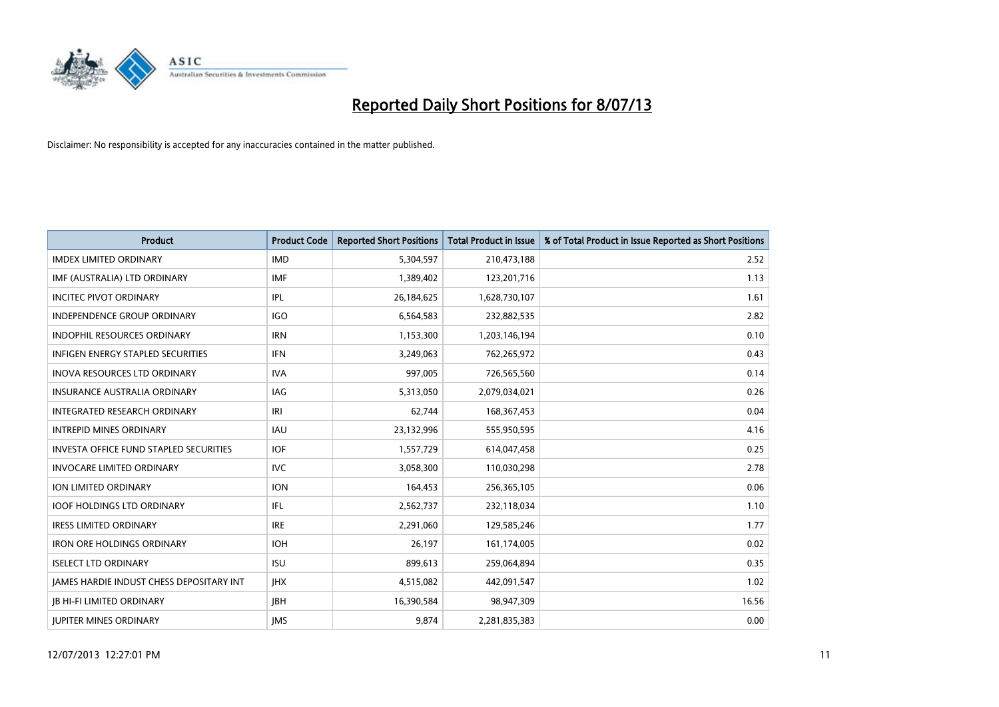

| <b>Product</b>                                | <b>Product Code</b> | <b>Reported Short Positions</b> | <b>Total Product in Issue</b> | % of Total Product in Issue Reported as Short Positions |
|-----------------------------------------------|---------------------|---------------------------------|-------------------------------|---------------------------------------------------------|
| <b>IMDEX LIMITED ORDINARY</b>                 | <b>IMD</b>          | 5,304,597                       | 210,473,188                   | 2.52                                                    |
| IMF (AUSTRALIA) LTD ORDINARY                  | <b>IMF</b>          | 1,389,402                       | 123,201,716                   | 1.13                                                    |
| <b>INCITEC PIVOT ORDINARY</b>                 | IPL                 | 26,184,625                      | 1,628,730,107                 | 1.61                                                    |
| INDEPENDENCE GROUP ORDINARY                   | <b>IGO</b>          | 6,564,583                       | 232,882,535                   | 2.82                                                    |
| <b>INDOPHIL RESOURCES ORDINARY</b>            | <b>IRN</b>          | 1,153,300                       | 1,203,146,194                 | 0.10                                                    |
| INFIGEN ENERGY STAPLED SECURITIES             | <b>IFN</b>          | 3,249,063                       | 762,265,972                   | 0.43                                                    |
| <b>INOVA RESOURCES LTD ORDINARY</b>           | <b>IVA</b>          | 997,005                         | 726,565,560                   | 0.14                                                    |
| <b>INSURANCE AUSTRALIA ORDINARY</b>           | <b>IAG</b>          | 5,313,050                       | 2,079,034,021                 | 0.26                                                    |
| INTEGRATED RESEARCH ORDINARY                  | IRI                 | 62,744                          | 168, 367, 453                 | 0.04                                                    |
| <b>INTREPID MINES ORDINARY</b>                | <b>IAU</b>          | 23,132,996                      | 555,950,595                   | 4.16                                                    |
| <b>INVESTA OFFICE FUND STAPLED SECURITIES</b> | <b>IOF</b>          | 1,557,729                       | 614,047,458                   | 0.25                                                    |
| <b>INVOCARE LIMITED ORDINARY</b>              | <b>IVC</b>          | 3,058,300                       | 110,030,298                   | 2.78                                                    |
| ION LIMITED ORDINARY                          | <b>ION</b>          | 164,453                         | 256,365,105                   | 0.06                                                    |
| <b>IOOF HOLDINGS LTD ORDINARY</b>             | <b>IFL</b>          | 2,562,737                       | 232,118,034                   | 1.10                                                    |
| <b>IRESS LIMITED ORDINARY</b>                 | <b>IRE</b>          | 2,291,060                       | 129,585,246                   | 1.77                                                    |
| <b>IRON ORE HOLDINGS ORDINARY</b>             | <b>IOH</b>          | 26,197                          | 161,174,005                   | 0.02                                                    |
| <b>ISELECT LTD ORDINARY</b>                   | <b>ISU</b>          | 899.613                         | 259,064,894                   | 0.35                                                    |
| JAMES HARDIE INDUST CHESS DEPOSITARY INT      | <b>IHX</b>          | 4,515,082                       | 442,091,547                   | 1.02                                                    |
| <b>IB HI-FI LIMITED ORDINARY</b>              | <b>IBH</b>          | 16,390,584                      | 98,947,309                    | 16.56                                                   |
| <b>JUPITER MINES ORDINARY</b>                 | <b>IMS</b>          | 9,874                           | 2,281,835,383                 | 0.00                                                    |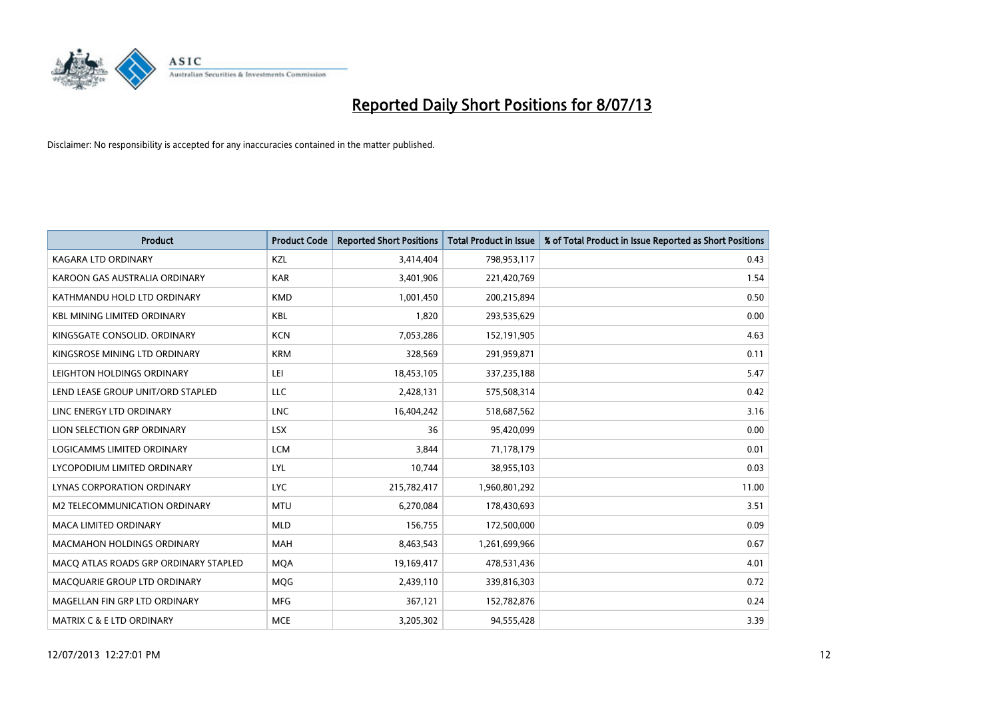

| <b>Product</b>                        | <b>Product Code</b> | <b>Reported Short Positions</b> | <b>Total Product in Issue</b> | % of Total Product in Issue Reported as Short Positions |
|---------------------------------------|---------------------|---------------------------------|-------------------------------|---------------------------------------------------------|
| <b>KAGARA LTD ORDINARY</b>            | <b>KZL</b>          | 3,414,404                       | 798,953,117                   | 0.43                                                    |
| KAROON GAS AUSTRALIA ORDINARY         | <b>KAR</b>          | 3,401,906                       | 221,420,769                   | 1.54                                                    |
| KATHMANDU HOLD LTD ORDINARY           | <b>KMD</b>          | 1,001,450                       | 200,215,894                   | 0.50                                                    |
| KBL MINING LIMITED ORDINARY           | <b>KBL</b>          | 1,820                           | 293,535,629                   | 0.00                                                    |
| KINGSGATE CONSOLID, ORDINARY          | <b>KCN</b>          | 7,053,286                       | 152,191,905                   | 4.63                                                    |
| KINGSROSE MINING LTD ORDINARY         | <b>KRM</b>          | 328,569                         | 291,959,871                   | 0.11                                                    |
| LEIGHTON HOLDINGS ORDINARY            | LEI                 | 18,453,105                      | 337,235,188                   | 5.47                                                    |
| LEND LEASE GROUP UNIT/ORD STAPLED     | LLC                 | 2,428,131                       | 575,508,314                   | 0.42                                                    |
| LINC ENERGY LTD ORDINARY              | <b>LNC</b>          | 16,404,242                      | 518,687,562                   | 3.16                                                    |
| LION SELECTION GRP ORDINARY           | <b>LSX</b>          | 36                              | 95,420,099                    | 0.00                                                    |
| LOGICAMMS LIMITED ORDINARY            | <b>LCM</b>          | 3,844                           | 71,178,179                    | 0.01                                                    |
| LYCOPODIUM LIMITED ORDINARY           | LYL                 | 10,744                          | 38,955,103                    | 0.03                                                    |
| LYNAS CORPORATION ORDINARY            | <b>LYC</b>          | 215,782,417                     | 1,960,801,292                 | 11.00                                                   |
| <b>M2 TELECOMMUNICATION ORDINARY</b>  | <b>MTU</b>          | 6,270,084                       | 178,430,693                   | 3.51                                                    |
| <b>MACA LIMITED ORDINARY</b>          | <b>MLD</b>          | 156,755                         | 172,500,000                   | 0.09                                                    |
| MACMAHON HOLDINGS ORDINARY            | MAH                 | 8,463,543                       | 1,261,699,966                 | 0.67                                                    |
| MACO ATLAS ROADS GRP ORDINARY STAPLED | <b>MQA</b>          | 19,169,417                      | 478,531,436                   | 4.01                                                    |
| MACQUARIE GROUP LTD ORDINARY          | <b>MQG</b>          | 2,439,110                       | 339,816,303                   | 0.72                                                    |
| MAGELLAN FIN GRP LTD ORDINARY         | <b>MFG</b>          | 367,121                         | 152,782,876                   | 0.24                                                    |
| MATRIX C & E LTD ORDINARY             | <b>MCE</b>          | 3,205,302                       | 94,555,428                    | 3.39                                                    |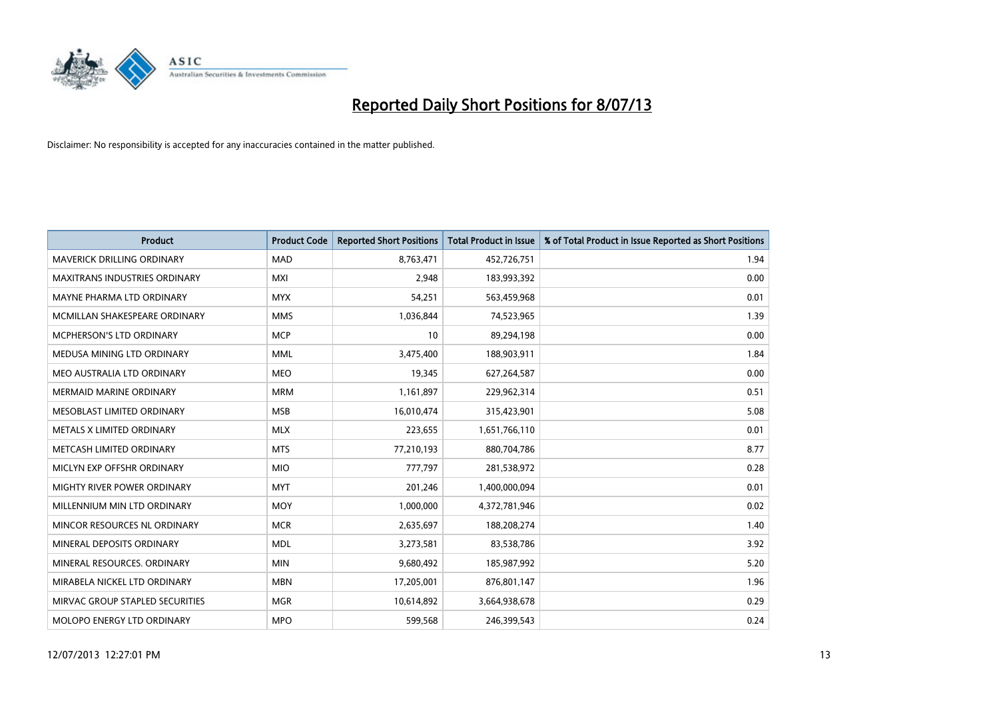

| <b>Product</b>                    | <b>Product Code</b> | <b>Reported Short Positions</b> | <b>Total Product in Issue</b> | % of Total Product in Issue Reported as Short Positions |
|-----------------------------------|---------------------|---------------------------------|-------------------------------|---------------------------------------------------------|
| <b>MAVERICK DRILLING ORDINARY</b> | <b>MAD</b>          | 8,763,471                       | 452,726,751                   | 1.94                                                    |
| MAXITRANS INDUSTRIES ORDINARY     | <b>MXI</b>          | 2,948                           | 183,993,392                   | 0.00                                                    |
| MAYNE PHARMA LTD ORDINARY         | <b>MYX</b>          | 54,251                          | 563,459,968                   | 0.01                                                    |
| MCMILLAN SHAKESPEARE ORDINARY     | <b>MMS</b>          | 1,036,844                       | 74,523,965                    | 1.39                                                    |
| <b>MCPHERSON'S LTD ORDINARY</b>   | <b>MCP</b>          | 10                              | 89,294,198                    | 0.00                                                    |
| MEDUSA MINING LTD ORDINARY        | <b>MML</b>          | 3,475,400                       | 188,903,911                   | 1.84                                                    |
| MEO AUSTRALIA LTD ORDINARY        | <b>MEO</b>          | 19,345                          | 627,264,587                   | 0.00                                                    |
| <b>MERMAID MARINE ORDINARY</b>    | <b>MRM</b>          | 1,161,897                       | 229,962,314                   | 0.51                                                    |
| MESOBLAST LIMITED ORDINARY        | <b>MSB</b>          | 16,010,474                      | 315,423,901                   | 5.08                                                    |
| METALS X LIMITED ORDINARY         | <b>MLX</b>          | 223,655                         | 1,651,766,110                 | 0.01                                                    |
| METCASH LIMITED ORDINARY          | <b>MTS</b>          | 77,210,193                      | 880,704,786                   | 8.77                                                    |
| MICLYN EXP OFFSHR ORDINARY        | <b>MIO</b>          | 777,797                         | 281,538,972                   | 0.28                                                    |
| MIGHTY RIVER POWER ORDINARY       | <b>MYT</b>          | 201,246                         | 1,400,000,094                 | 0.01                                                    |
| MILLENNIUM MIN LTD ORDINARY       | MOY                 | 1,000,000                       | 4,372,781,946                 | 0.02                                                    |
| MINCOR RESOURCES NL ORDINARY      | <b>MCR</b>          | 2,635,697                       | 188,208,274                   | 1.40                                                    |
| MINERAL DEPOSITS ORDINARY         | <b>MDL</b>          | 3,273,581                       | 83,538,786                    | 3.92                                                    |
| MINERAL RESOURCES. ORDINARY       | <b>MIN</b>          | 9,680,492                       | 185,987,992                   | 5.20                                                    |
| MIRABELA NICKEL LTD ORDINARY      | <b>MBN</b>          | 17,205,001                      | 876,801,147                   | 1.96                                                    |
| MIRVAC GROUP STAPLED SECURITIES   | <b>MGR</b>          | 10,614,892                      | 3,664,938,678                 | 0.29                                                    |
| MOLOPO ENERGY LTD ORDINARY        | <b>MPO</b>          | 599,568                         | 246,399,543                   | 0.24                                                    |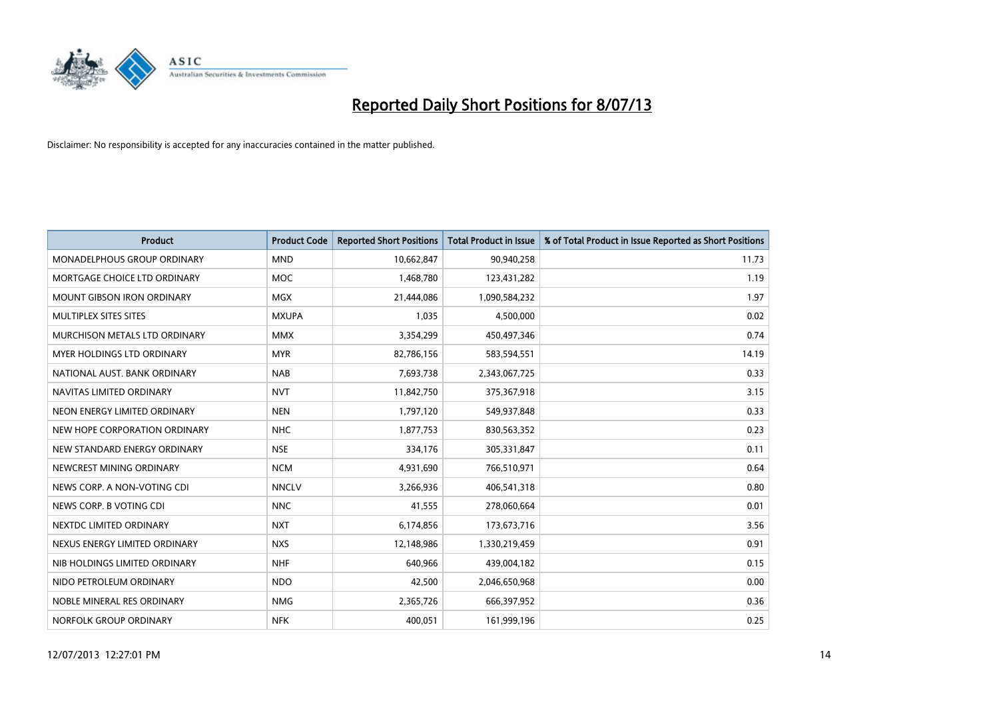

| Product                           | <b>Product Code</b> | <b>Reported Short Positions</b> | <b>Total Product in Issue</b> | % of Total Product in Issue Reported as Short Positions |
|-----------------------------------|---------------------|---------------------------------|-------------------------------|---------------------------------------------------------|
| MONADELPHOUS GROUP ORDINARY       | <b>MND</b>          | 10,662,847                      | 90,940,258                    | 11.73                                                   |
| MORTGAGE CHOICE LTD ORDINARY      | <b>MOC</b>          | 1,468,780                       | 123,431,282                   | 1.19                                                    |
| <b>MOUNT GIBSON IRON ORDINARY</b> | <b>MGX</b>          | 21,444,086                      | 1,090,584,232                 | 1.97                                                    |
| MULTIPLEX SITES SITES             | <b>MXUPA</b>        | 1,035                           | 4,500,000                     | 0.02                                                    |
| MURCHISON METALS LTD ORDINARY     | <b>MMX</b>          | 3,354,299                       | 450,497,346                   | 0.74                                                    |
| MYER HOLDINGS LTD ORDINARY        | <b>MYR</b>          | 82,786,156                      | 583,594,551                   | 14.19                                                   |
| NATIONAL AUST. BANK ORDINARY      | <b>NAB</b>          | 7,693,738                       | 2,343,067,725                 | 0.33                                                    |
| NAVITAS LIMITED ORDINARY          | <b>NVT</b>          | 11,842,750                      | 375,367,918                   | 3.15                                                    |
| NEON ENERGY LIMITED ORDINARY      | <b>NEN</b>          | 1,797,120                       | 549,937,848                   | 0.33                                                    |
| NEW HOPE CORPORATION ORDINARY     | <b>NHC</b>          | 1,877,753                       | 830,563,352                   | 0.23                                                    |
| NEW STANDARD ENERGY ORDINARY      | <b>NSE</b>          | 334,176                         | 305,331,847                   | 0.11                                                    |
| NEWCREST MINING ORDINARY          | <b>NCM</b>          | 4,931,690                       | 766,510,971                   | 0.64                                                    |
| NEWS CORP. A NON-VOTING CDI       | <b>NNCLV</b>        | 3,266,936                       | 406,541,318                   | 0.80                                                    |
| NEWS CORP. B VOTING CDI           | <b>NNC</b>          | 41,555                          | 278,060,664                   | 0.01                                                    |
| NEXTDC LIMITED ORDINARY           | <b>NXT</b>          | 6,174,856                       | 173,673,716                   | 3.56                                                    |
| NEXUS ENERGY LIMITED ORDINARY     | <b>NXS</b>          | 12,148,986                      | 1,330,219,459                 | 0.91                                                    |
| NIB HOLDINGS LIMITED ORDINARY     | <b>NHF</b>          | 640,966                         | 439,004,182                   | 0.15                                                    |
| NIDO PETROLEUM ORDINARY           | <b>NDO</b>          | 42,500                          | 2,046,650,968                 | 0.00                                                    |
| NOBLE MINERAL RES ORDINARY        | <b>NMG</b>          | 2,365,726                       | 666,397,952                   | 0.36                                                    |
| NORFOLK GROUP ORDINARY            | <b>NFK</b>          | 400,051                         | 161,999,196                   | 0.25                                                    |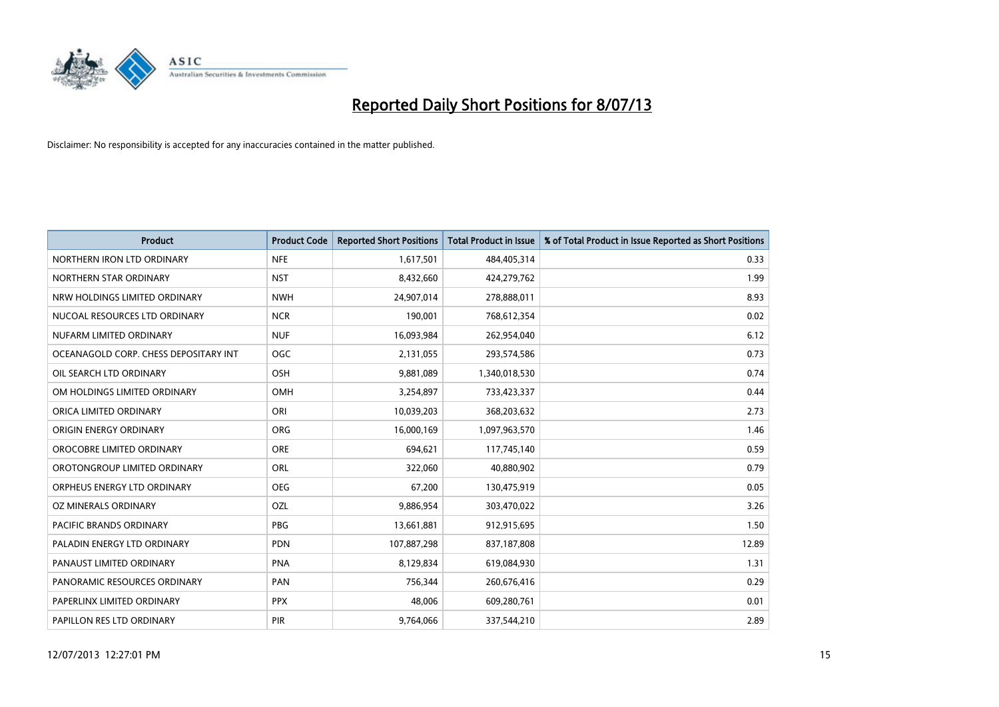

| <b>Product</b>                        | <b>Product Code</b> | <b>Reported Short Positions</b> | <b>Total Product in Issue</b> | % of Total Product in Issue Reported as Short Positions |
|---------------------------------------|---------------------|---------------------------------|-------------------------------|---------------------------------------------------------|
| NORTHERN IRON LTD ORDINARY            | <b>NFE</b>          | 1,617,501                       | 484,405,314                   | 0.33                                                    |
| NORTHERN STAR ORDINARY                | <b>NST</b>          | 8,432,660                       | 424,279,762                   | 1.99                                                    |
| NRW HOLDINGS LIMITED ORDINARY         | <b>NWH</b>          | 24,907,014                      | 278,888,011                   | 8.93                                                    |
| NUCOAL RESOURCES LTD ORDINARY         | <b>NCR</b>          | 190.001                         | 768,612,354                   | 0.02                                                    |
| NUFARM LIMITED ORDINARY               | <b>NUF</b>          | 16,093,984                      | 262,954,040                   | 6.12                                                    |
| OCEANAGOLD CORP. CHESS DEPOSITARY INT | <b>OGC</b>          | 2,131,055                       | 293,574,586                   | 0.73                                                    |
| OIL SEARCH LTD ORDINARY               | OSH                 | 9,881,089                       | 1,340,018,530                 | 0.74                                                    |
| OM HOLDINGS LIMITED ORDINARY          | OMH                 | 3,254,897                       | 733,423,337                   | 0.44                                                    |
| ORICA LIMITED ORDINARY                | ORI                 | 10,039,203                      | 368,203,632                   | 2.73                                                    |
| ORIGIN ENERGY ORDINARY                | ORG                 | 16,000,169                      | 1,097,963,570                 | 1.46                                                    |
| OROCOBRE LIMITED ORDINARY             | <b>ORE</b>          | 694,621                         | 117,745,140                   | 0.59                                                    |
| OROTONGROUP LIMITED ORDINARY          | <b>ORL</b>          | 322,060                         | 40,880,902                    | 0.79                                                    |
| ORPHEUS ENERGY LTD ORDINARY           | <b>OEG</b>          | 67,200                          | 130,475,919                   | 0.05                                                    |
| <b>OZ MINERALS ORDINARY</b>           | OZL                 | 9,886,954                       | 303,470,022                   | 3.26                                                    |
| PACIFIC BRANDS ORDINARY               | <b>PBG</b>          | 13,661,881                      | 912,915,695                   | 1.50                                                    |
| PALADIN ENERGY LTD ORDINARY           | <b>PDN</b>          | 107,887,298                     | 837,187,808                   | 12.89                                                   |
| PANAUST LIMITED ORDINARY              | <b>PNA</b>          | 8,129,834                       | 619,084,930                   | 1.31                                                    |
| PANORAMIC RESOURCES ORDINARY          | PAN                 | 756,344                         | 260,676,416                   | 0.29                                                    |
| PAPERLINX LIMITED ORDINARY            | <b>PPX</b>          | 48,006                          | 609,280,761                   | 0.01                                                    |
| PAPILLON RES LTD ORDINARY             | PIR                 | 9,764,066                       | 337,544,210                   | 2.89                                                    |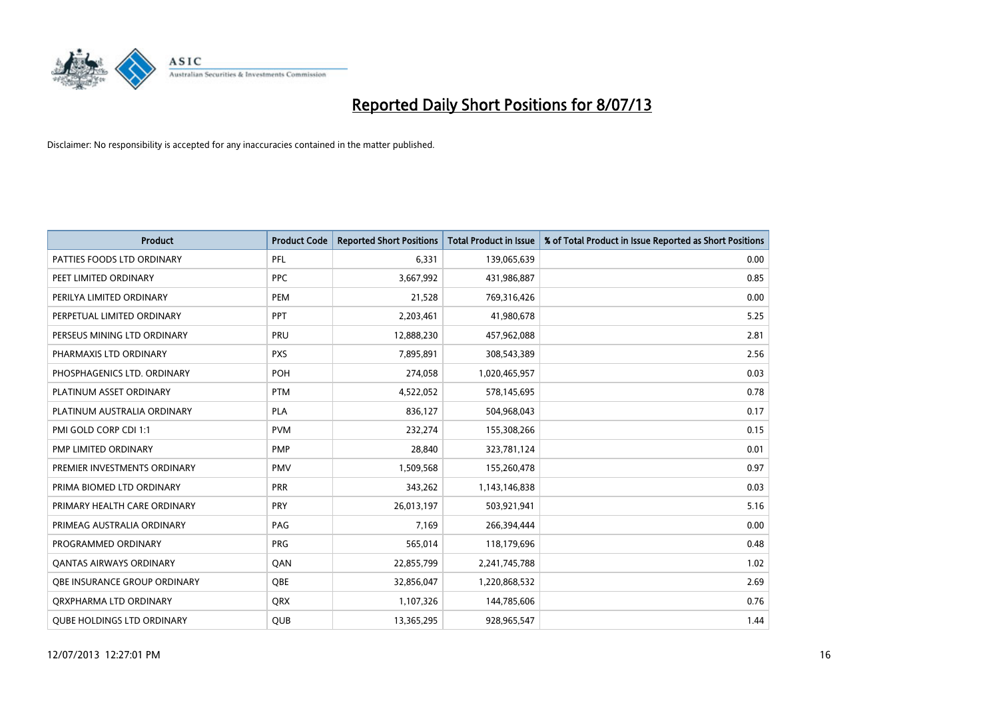

| <b>Product</b>                      | <b>Product Code</b> | <b>Reported Short Positions</b> | <b>Total Product in Issue</b> | % of Total Product in Issue Reported as Short Positions |
|-------------------------------------|---------------------|---------------------------------|-------------------------------|---------------------------------------------------------|
| PATTIES FOODS LTD ORDINARY          | PFL                 | 6,331                           | 139,065,639                   | 0.00                                                    |
| PEET LIMITED ORDINARY               | <b>PPC</b>          | 3,667,992                       | 431,986,887                   | 0.85                                                    |
| PERILYA LIMITED ORDINARY            | <b>PEM</b>          | 21,528                          | 769,316,426                   | 0.00                                                    |
| PERPETUAL LIMITED ORDINARY          | <b>PPT</b>          | 2,203,461                       | 41,980,678                    | 5.25                                                    |
| PERSEUS MINING LTD ORDINARY         | PRU                 | 12,888,230                      | 457,962,088                   | 2.81                                                    |
| PHARMAXIS LTD ORDINARY              | <b>PXS</b>          | 7,895,891                       | 308,543,389                   | 2.56                                                    |
| PHOSPHAGENICS LTD. ORDINARY         | <b>POH</b>          | 274,058                         | 1,020,465,957                 | 0.03                                                    |
| PLATINUM ASSET ORDINARY             | <b>PTM</b>          | 4,522,052                       | 578,145,695                   | 0.78                                                    |
| PLATINUM AUSTRALIA ORDINARY         | <b>PLA</b>          | 836,127                         | 504,968,043                   | 0.17                                                    |
| PMI GOLD CORP CDI 1:1               | <b>PVM</b>          | 232,274                         | 155,308,266                   | 0.15                                                    |
| PMP LIMITED ORDINARY                | <b>PMP</b>          | 28,840                          | 323,781,124                   | 0.01                                                    |
| PREMIER INVESTMENTS ORDINARY        | <b>PMV</b>          | 1,509,568                       | 155,260,478                   | 0.97                                                    |
| PRIMA BIOMED LTD ORDINARY           | <b>PRR</b>          | 343,262                         | 1,143,146,838                 | 0.03                                                    |
| PRIMARY HEALTH CARE ORDINARY        | PRY                 | 26,013,197                      | 503,921,941                   | 5.16                                                    |
| PRIMEAG AUSTRALIA ORDINARY          | PAG                 | 7,169                           | 266,394,444                   | 0.00                                                    |
| PROGRAMMED ORDINARY                 | <b>PRG</b>          | 565,014                         | 118,179,696                   | 0.48                                                    |
| <b>QANTAS AIRWAYS ORDINARY</b>      | QAN                 | 22,855,799                      | 2,241,745,788                 | 1.02                                                    |
| <b>OBE INSURANCE GROUP ORDINARY</b> | QBE                 | 32,856,047                      | 1,220,868,532                 | 2.69                                                    |
| ORXPHARMA LTD ORDINARY              | <b>QRX</b>          | 1,107,326                       | 144,785,606                   | 0.76                                                    |
| <b>QUBE HOLDINGS LTD ORDINARY</b>   | <b>QUB</b>          | 13,365,295                      | 928,965,547                   | 1.44                                                    |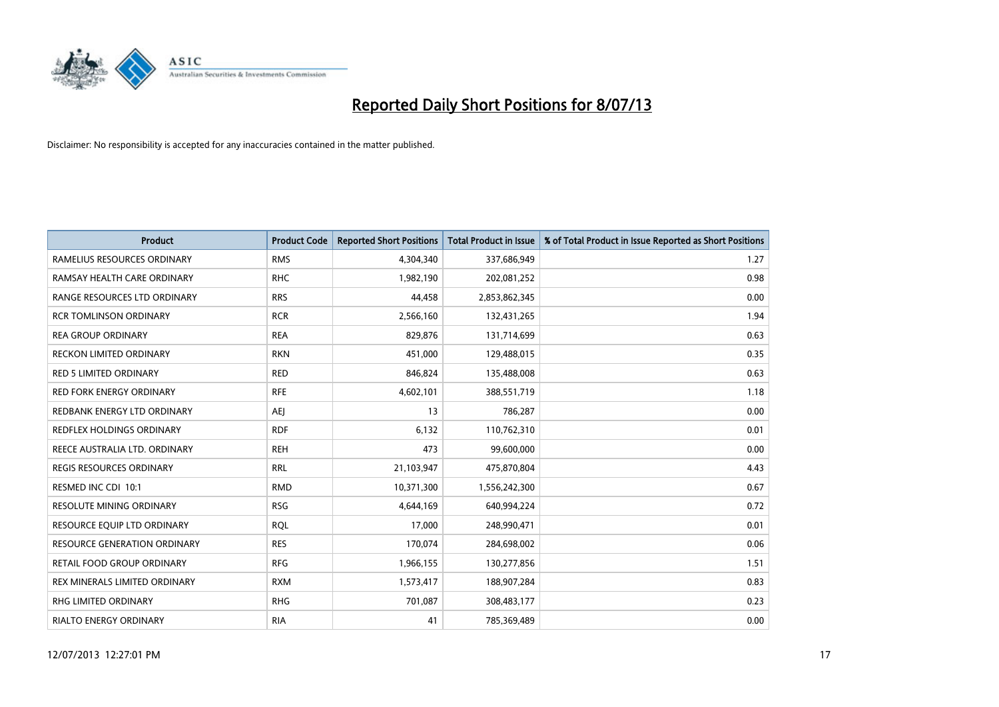

| <b>Product</b>                   | <b>Product Code</b> | <b>Reported Short Positions</b> | <b>Total Product in Issue</b> | % of Total Product in Issue Reported as Short Positions |
|----------------------------------|---------------------|---------------------------------|-------------------------------|---------------------------------------------------------|
| RAMELIUS RESOURCES ORDINARY      | <b>RMS</b>          | 4,304,340                       | 337,686,949                   | 1.27                                                    |
| RAMSAY HEALTH CARE ORDINARY      | <b>RHC</b>          | 1,982,190                       | 202,081,252                   | 0.98                                                    |
| RANGE RESOURCES LTD ORDINARY     | <b>RRS</b>          | 44,458                          | 2,853,862,345                 | 0.00                                                    |
| <b>RCR TOMLINSON ORDINARY</b>    | <b>RCR</b>          | 2,566,160                       | 132,431,265                   | 1.94                                                    |
| <b>REA GROUP ORDINARY</b>        | <b>REA</b>          | 829,876                         | 131,714,699                   | 0.63                                                    |
| <b>RECKON LIMITED ORDINARY</b>   | <b>RKN</b>          | 451,000                         | 129,488,015                   | 0.35                                                    |
| <b>RED 5 LIMITED ORDINARY</b>    | <b>RED</b>          | 846,824                         | 135,488,008                   | 0.63                                                    |
| RED FORK ENERGY ORDINARY         | <b>RFE</b>          | 4,602,101                       | 388,551,719                   | 1.18                                                    |
| REDBANK ENERGY LTD ORDINARY      | AEJ                 | 13                              | 786,287                       | 0.00                                                    |
| <b>REDFLEX HOLDINGS ORDINARY</b> | <b>RDF</b>          | 6,132                           | 110,762,310                   | 0.01                                                    |
| REECE AUSTRALIA LTD. ORDINARY    | <b>REH</b>          | 473                             | 99,600,000                    | 0.00                                                    |
| <b>REGIS RESOURCES ORDINARY</b>  | <b>RRL</b>          | 21,103,947                      | 475,870,804                   | 4.43                                                    |
| RESMED INC CDI 10:1              | <b>RMD</b>          | 10,371,300                      | 1,556,242,300                 | 0.67                                                    |
| <b>RESOLUTE MINING ORDINARY</b>  | <b>RSG</b>          | 4,644,169                       | 640,994,224                   | 0.72                                                    |
| RESOURCE EQUIP LTD ORDINARY      | <b>RQL</b>          | 17,000                          | 248,990,471                   | 0.01                                                    |
| RESOURCE GENERATION ORDINARY     | <b>RES</b>          | 170,074                         | 284,698,002                   | 0.06                                                    |
| RETAIL FOOD GROUP ORDINARY       | <b>RFG</b>          | 1,966,155                       | 130,277,856                   | 1.51                                                    |
| REX MINERALS LIMITED ORDINARY    | <b>RXM</b>          | 1,573,417                       | 188,907,284                   | 0.83                                                    |
| <b>RHG LIMITED ORDINARY</b>      | <b>RHG</b>          | 701,087                         | 308,483,177                   | 0.23                                                    |
| RIALTO ENERGY ORDINARY           | <b>RIA</b>          | 41                              | 785,369,489                   | 0.00                                                    |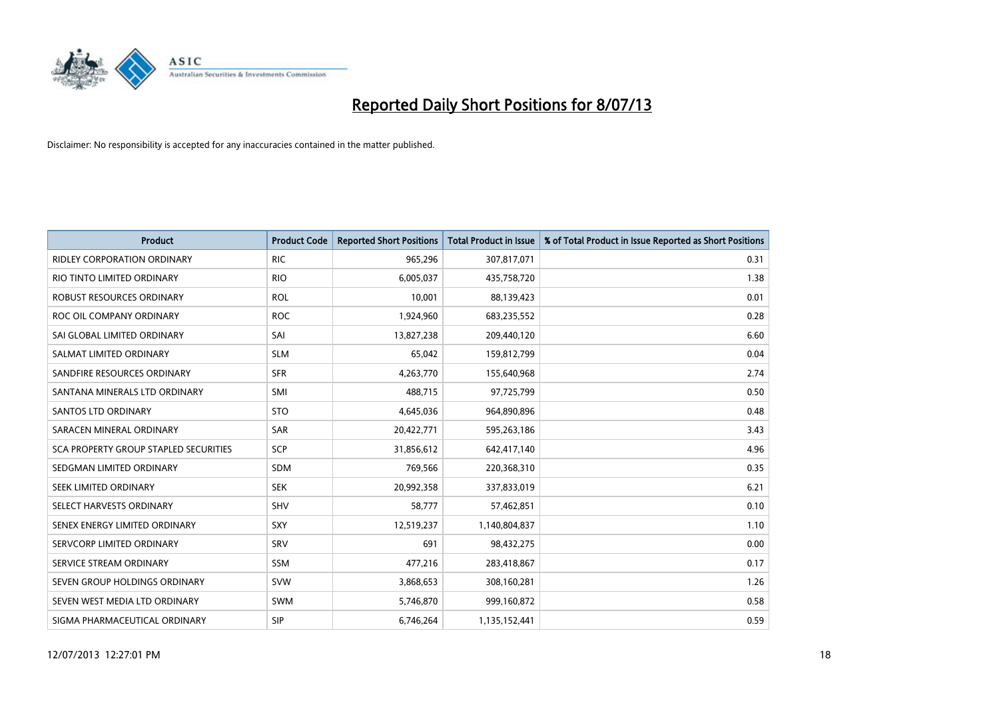

| <b>Product</b>                        | <b>Product Code</b> | <b>Reported Short Positions</b> | <b>Total Product in Issue</b> | % of Total Product in Issue Reported as Short Positions |
|---------------------------------------|---------------------|---------------------------------|-------------------------------|---------------------------------------------------------|
| <b>RIDLEY CORPORATION ORDINARY</b>    | <b>RIC</b>          | 965,296                         | 307,817,071                   | 0.31                                                    |
| RIO TINTO LIMITED ORDINARY            | <b>RIO</b>          | 6,005,037                       | 435,758,720                   | 1.38                                                    |
| ROBUST RESOURCES ORDINARY             | <b>ROL</b>          | 10,001                          | 88,139,423                    | 0.01                                                    |
| ROC OIL COMPANY ORDINARY              | <b>ROC</b>          | 1,924,960                       | 683,235,552                   | 0.28                                                    |
| SAI GLOBAL LIMITED ORDINARY           | SAI                 | 13,827,238                      | 209,440,120                   | 6.60                                                    |
| SALMAT LIMITED ORDINARY               | <b>SLM</b>          | 65,042                          | 159,812,799                   | 0.04                                                    |
| SANDFIRE RESOURCES ORDINARY           | <b>SFR</b>          | 4,263,770                       | 155,640,968                   | 2.74                                                    |
| SANTANA MINERALS LTD ORDINARY         | SMI                 | 488,715                         | 97,725,799                    | 0.50                                                    |
| SANTOS LTD ORDINARY                   | <b>STO</b>          | 4,645,036                       | 964,890,896                   | 0.48                                                    |
| SARACEN MINERAL ORDINARY              | SAR                 | 20,422,771                      | 595,263,186                   | 3.43                                                    |
| SCA PROPERTY GROUP STAPLED SECURITIES | SCP                 | 31,856,612                      | 642,417,140                   | 4.96                                                    |
| SEDGMAN LIMITED ORDINARY              | <b>SDM</b>          | 769,566                         | 220,368,310                   | 0.35                                                    |
| SEEK LIMITED ORDINARY                 | <b>SEK</b>          | 20,992,358                      | 337,833,019                   | 6.21                                                    |
| SELECT HARVESTS ORDINARY              | SHV                 | 58,777                          | 57,462,851                    | 0.10                                                    |
| SENEX ENERGY LIMITED ORDINARY         | <b>SXY</b>          | 12,519,237                      | 1,140,804,837                 | 1.10                                                    |
| SERVCORP LIMITED ORDINARY             | SRV                 | 691                             | 98,432,275                    | 0.00                                                    |
| SERVICE STREAM ORDINARY               | SSM                 | 477,216                         | 283,418,867                   | 0.17                                                    |
| SEVEN GROUP HOLDINGS ORDINARY         | <b>SVW</b>          | 3,868,653                       | 308,160,281                   | 1.26                                                    |
| SEVEN WEST MEDIA LTD ORDINARY         | <b>SWM</b>          | 5,746,870                       | 999,160,872                   | 0.58                                                    |
| SIGMA PHARMACEUTICAL ORDINARY         | <b>SIP</b>          | 6,746,264                       | 1,135,152,441                 | 0.59                                                    |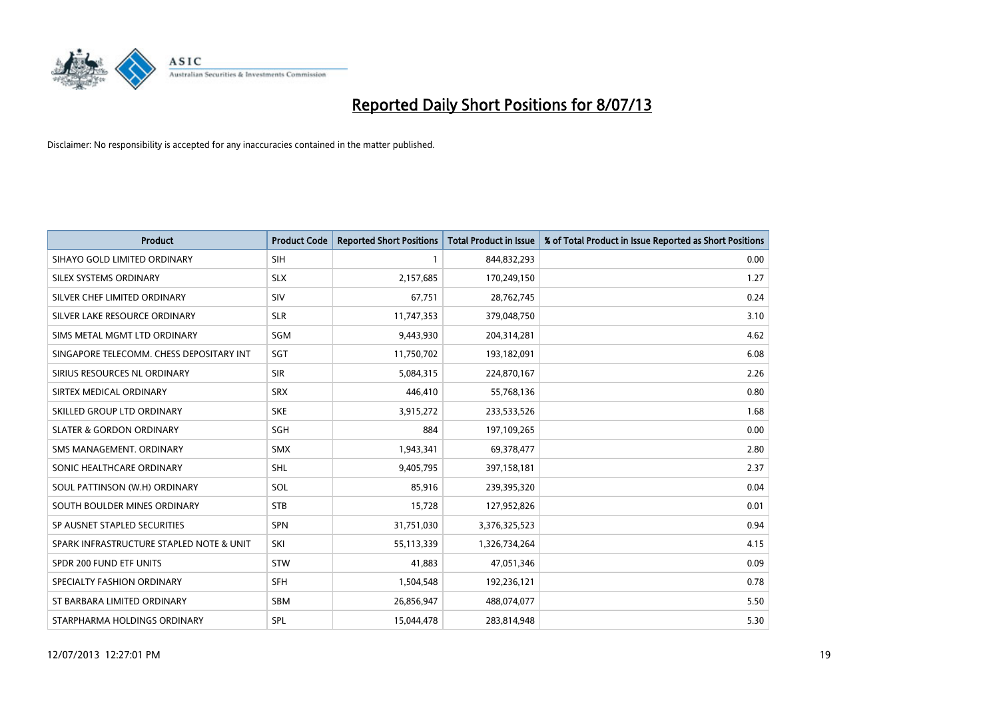

| <b>Product</b>                           | <b>Product Code</b> | <b>Reported Short Positions</b> | <b>Total Product in Issue</b> | % of Total Product in Issue Reported as Short Positions |
|------------------------------------------|---------------------|---------------------------------|-------------------------------|---------------------------------------------------------|
| SIHAYO GOLD LIMITED ORDINARY             | <b>SIH</b>          | 1                               | 844,832,293                   | 0.00                                                    |
| SILEX SYSTEMS ORDINARY                   | <b>SLX</b>          | 2,157,685                       | 170,249,150                   | 1.27                                                    |
| SILVER CHEF LIMITED ORDINARY             | SIV                 | 67,751                          | 28,762,745                    | 0.24                                                    |
| SILVER LAKE RESOURCE ORDINARY            | <b>SLR</b>          | 11,747,353                      | 379,048,750                   | 3.10                                                    |
| SIMS METAL MGMT LTD ORDINARY             | SGM                 | 9,443,930                       | 204,314,281                   | 4.62                                                    |
| SINGAPORE TELECOMM. CHESS DEPOSITARY INT | SGT                 | 11,750,702                      | 193,182,091                   | 6.08                                                    |
| SIRIUS RESOURCES NL ORDINARY             | <b>SIR</b>          | 5,084,315                       | 224,870,167                   | 2.26                                                    |
| SIRTEX MEDICAL ORDINARY                  | <b>SRX</b>          | 446,410                         | 55,768,136                    | 0.80                                                    |
| SKILLED GROUP LTD ORDINARY               | <b>SKE</b>          | 3,915,272                       | 233,533,526                   | 1.68                                                    |
| <b>SLATER &amp; GORDON ORDINARY</b>      | SGH                 | 884                             | 197,109,265                   | 0.00                                                    |
| SMS MANAGEMENT. ORDINARY                 | <b>SMX</b>          | 1,943,341                       | 69,378,477                    | 2.80                                                    |
| SONIC HEALTHCARE ORDINARY                | SHL                 | 9,405,795                       | 397,158,181                   | 2.37                                                    |
| SOUL PATTINSON (W.H) ORDINARY            | SOL                 | 85,916                          | 239,395,320                   | 0.04                                                    |
| SOUTH BOULDER MINES ORDINARY             | <b>STB</b>          | 15,728                          | 127,952,826                   | 0.01                                                    |
| SP AUSNET STAPLED SECURITIES             | <b>SPN</b>          | 31,751,030                      | 3,376,325,523                 | 0.94                                                    |
| SPARK INFRASTRUCTURE STAPLED NOTE & UNIT | SKI                 | 55,113,339                      | 1,326,734,264                 | 4.15                                                    |
| SPDR 200 FUND ETF UNITS                  | <b>STW</b>          | 41,883                          | 47,051,346                    | 0.09                                                    |
| SPECIALTY FASHION ORDINARY               | <b>SFH</b>          | 1,504,548                       | 192,236,121                   | 0.78                                                    |
| ST BARBARA LIMITED ORDINARY              | <b>SBM</b>          | 26,856,947                      | 488,074,077                   | 5.50                                                    |
| STARPHARMA HOLDINGS ORDINARY             | SPL                 | 15,044,478                      | 283,814,948                   | 5.30                                                    |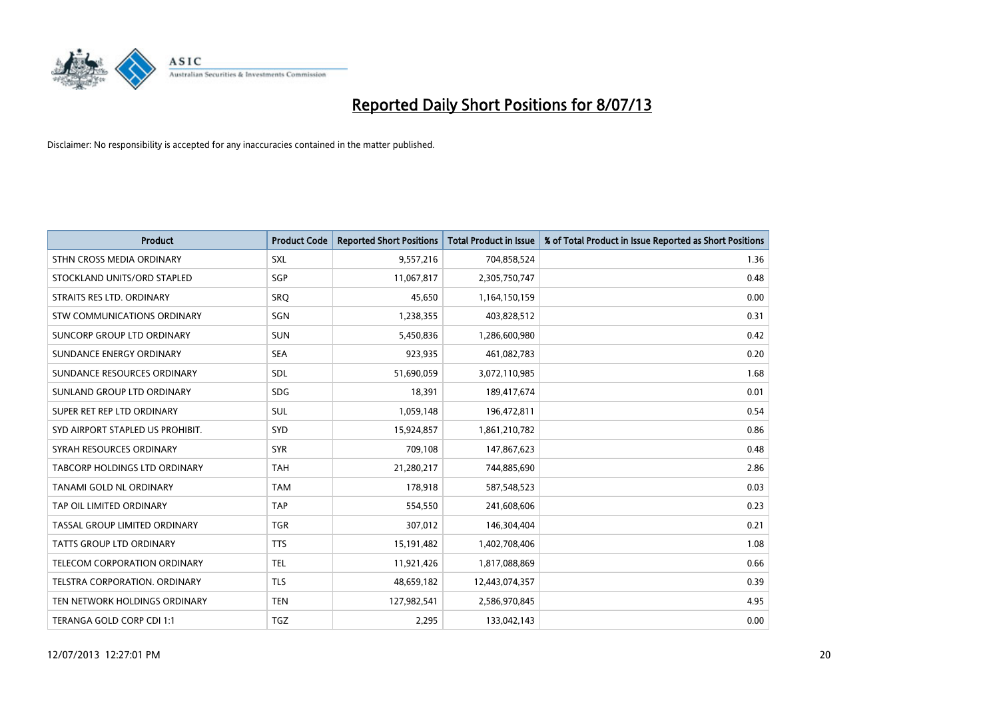

| <b>Product</b>                     | <b>Product Code</b> | <b>Reported Short Positions</b> | <b>Total Product in Issue</b> | % of Total Product in Issue Reported as Short Positions |
|------------------------------------|---------------------|---------------------------------|-------------------------------|---------------------------------------------------------|
| STHN CROSS MEDIA ORDINARY          | <b>SXL</b>          | 9,557,216                       | 704,858,524                   | 1.36                                                    |
| STOCKLAND UNITS/ORD STAPLED        | SGP                 | 11,067,817                      | 2,305,750,747                 | 0.48                                                    |
| STRAITS RES LTD. ORDINARY          | SRQ                 | 45,650                          | 1,164,150,159                 | 0.00                                                    |
| <b>STW COMMUNICATIONS ORDINARY</b> | SGN                 | 1,238,355                       | 403,828,512                   | 0.31                                                    |
| <b>SUNCORP GROUP LTD ORDINARY</b>  | <b>SUN</b>          | 5,450,836                       | 1,286,600,980                 | 0.42                                                    |
| SUNDANCE ENERGY ORDINARY           | <b>SEA</b>          | 923,935                         | 461,082,783                   | 0.20                                                    |
| SUNDANCE RESOURCES ORDINARY        | SDL                 | 51,690,059                      | 3,072,110,985                 | 1.68                                                    |
| SUNLAND GROUP LTD ORDINARY         | <b>SDG</b>          | 18,391                          | 189,417,674                   | 0.01                                                    |
| SUPER RET REP LTD ORDINARY         | <b>SUL</b>          | 1,059,148                       | 196,472,811                   | 0.54                                                    |
| SYD AIRPORT STAPLED US PROHIBIT.   | SYD                 | 15,924,857                      | 1,861,210,782                 | 0.86                                                    |
| SYRAH RESOURCES ORDINARY           | <b>SYR</b>          | 709,108                         | 147,867,623                   | 0.48                                                    |
| TABCORP HOLDINGS LTD ORDINARY      | <b>TAH</b>          | 21,280,217                      | 744,885,690                   | 2.86                                                    |
| TANAMI GOLD NL ORDINARY            | <b>TAM</b>          | 178.918                         | 587,548,523                   | 0.03                                                    |
| TAP OIL LIMITED ORDINARY           | <b>TAP</b>          | 554,550                         | 241,608,606                   | 0.23                                                    |
| TASSAL GROUP LIMITED ORDINARY      | <b>TGR</b>          | 307,012                         | 146,304,404                   | 0.21                                                    |
| <b>TATTS GROUP LTD ORDINARY</b>    | <b>TTS</b>          | 15,191,482                      | 1,402,708,406                 | 1.08                                                    |
| TELECOM CORPORATION ORDINARY       | <b>TEL</b>          | 11,921,426                      | 1,817,088,869                 | 0.66                                                    |
| TELSTRA CORPORATION. ORDINARY      | <b>TLS</b>          | 48,659,182                      | 12,443,074,357                | 0.39                                                    |
| TEN NETWORK HOLDINGS ORDINARY      | <b>TEN</b>          | 127,982,541                     | 2,586,970,845                 | 4.95                                                    |
| TERANGA GOLD CORP CDI 1:1          | <b>TGZ</b>          | 2,295                           | 133,042,143                   | 0.00                                                    |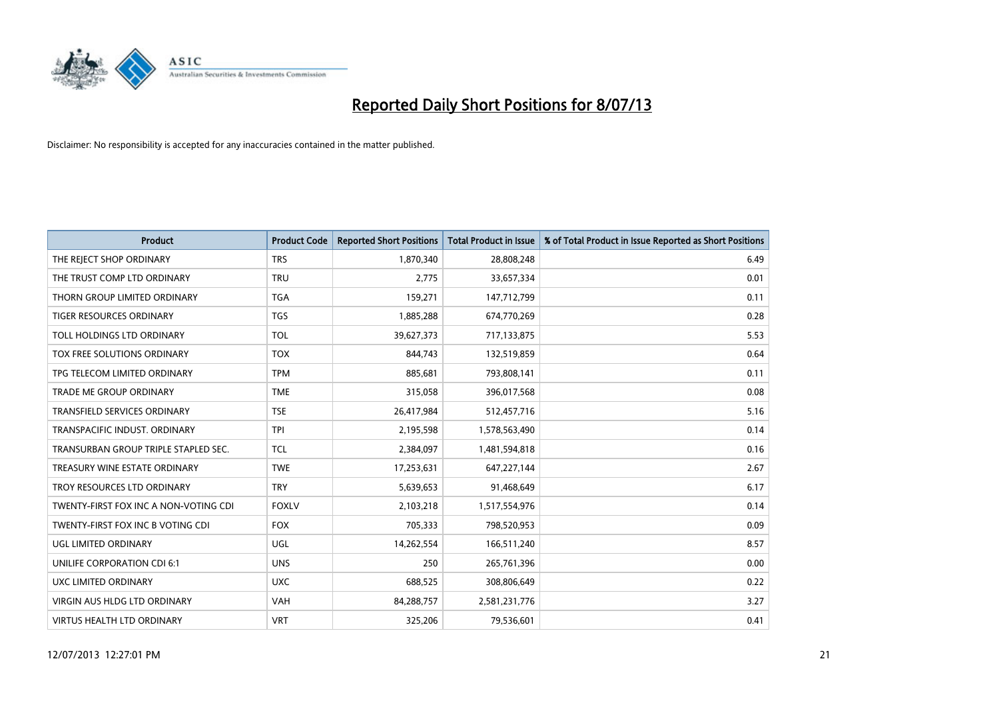

| <b>Product</b>                        | <b>Product Code</b> | <b>Reported Short Positions</b> | <b>Total Product in Issue</b> | % of Total Product in Issue Reported as Short Positions |
|---------------------------------------|---------------------|---------------------------------|-------------------------------|---------------------------------------------------------|
| THE REJECT SHOP ORDINARY              | <b>TRS</b>          | 1,870,340                       | 28,808,248                    | 6.49                                                    |
| THE TRUST COMP LTD ORDINARY           | <b>TRU</b>          | 2,775                           | 33,657,334                    | 0.01                                                    |
| THORN GROUP LIMITED ORDINARY          | <b>TGA</b>          | 159,271                         | 147,712,799                   | 0.11                                                    |
| TIGER RESOURCES ORDINARY              | <b>TGS</b>          | 1,885,288                       | 674,770,269                   | 0.28                                                    |
| TOLL HOLDINGS LTD ORDINARY            | <b>TOL</b>          | 39,627,373                      | 717,133,875                   | 5.53                                                    |
| <b>TOX FREE SOLUTIONS ORDINARY</b>    | <b>TOX</b>          | 844.743                         | 132,519,859                   | 0.64                                                    |
| TPG TELECOM LIMITED ORDINARY          | <b>TPM</b>          | 885,681                         | 793,808,141                   | 0.11                                                    |
| TRADE ME GROUP ORDINARY               | <b>TME</b>          | 315,058                         | 396,017,568                   | 0.08                                                    |
| <b>TRANSFIELD SERVICES ORDINARY</b>   | <b>TSE</b>          | 26,417,984                      | 512,457,716                   | 5.16                                                    |
| TRANSPACIFIC INDUST, ORDINARY         | <b>TPI</b>          | 2,195,598                       | 1,578,563,490                 | 0.14                                                    |
| TRANSURBAN GROUP TRIPLE STAPLED SEC.  | TCL                 | 2,384,097                       | 1,481,594,818                 | 0.16                                                    |
| TREASURY WINE ESTATE ORDINARY         | <b>TWE</b>          | 17,253,631                      | 647,227,144                   | 2.67                                                    |
| TROY RESOURCES LTD ORDINARY           | <b>TRY</b>          | 5,639,653                       | 91,468,649                    | 6.17                                                    |
| TWENTY-FIRST FOX INC A NON-VOTING CDI | <b>FOXLV</b>        | 2,103,218                       | 1,517,554,976                 | 0.14                                                    |
| TWENTY-FIRST FOX INC B VOTING CDI     | <b>FOX</b>          | 705,333                         | 798,520,953                   | 0.09                                                    |
| UGL LIMITED ORDINARY                  | UGL                 | 14,262,554                      | 166,511,240                   | 8.57                                                    |
| UNILIFE CORPORATION CDI 6:1           | <b>UNS</b>          | 250                             | 265,761,396                   | 0.00                                                    |
| UXC LIMITED ORDINARY                  | <b>UXC</b>          | 688,525                         | 308,806,649                   | 0.22                                                    |
| <b>VIRGIN AUS HLDG LTD ORDINARY</b>   | <b>VAH</b>          | 84,288,757                      | 2,581,231,776                 | 3.27                                                    |
| VIRTUS HEALTH LTD ORDINARY            | <b>VRT</b>          | 325,206                         | 79,536,601                    | 0.41                                                    |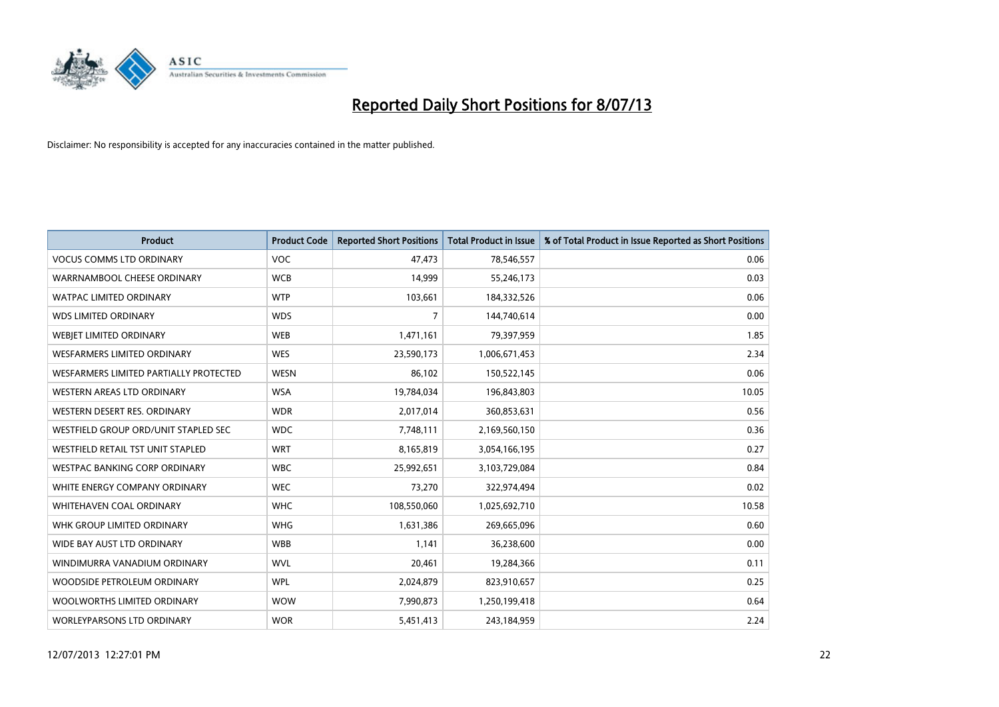

| <b>Product</b>                         | <b>Product Code</b> | <b>Reported Short Positions</b> | <b>Total Product in Issue</b> | % of Total Product in Issue Reported as Short Positions |
|----------------------------------------|---------------------|---------------------------------|-------------------------------|---------------------------------------------------------|
| <b>VOCUS COMMS LTD ORDINARY</b>        | <b>VOC</b>          | 47,473                          | 78,546,557                    | 0.06                                                    |
| WARRNAMBOOL CHEESE ORDINARY            | <b>WCB</b>          | 14,999                          | 55,246,173                    | 0.03                                                    |
| WATPAC LIMITED ORDINARY                | <b>WTP</b>          | 103,661                         | 184,332,526                   | 0.06                                                    |
| WDS LIMITED ORDINARY                   | <b>WDS</b>          | 7                               | 144,740,614                   | 0.00                                                    |
| WEBJET LIMITED ORDINARY                | <b>WEB</b>          | 1,471,161                       | 79,397,959                    | 1.85                                                    |
| <b>WESFARMERS LIMITED ORDINARY</b>     | <b>WES</b>          | 23,590,173                      | 1,006,671,453                 | 2.34                                                    |
| WESFARMERS LIMITED PARTIALLY PROTECTED | <b>WESN</b>         | 86,102                          | 150,522,145                   | 0.06                                                    |
| WESTERN AREAS LTD ORDINARY             | <b>WSA</b>          | 19,784,034                      | 196,843,803                   | 10.05                                                   |
| WESTERN DESERT RES. ORDINARY           | <b>WDR</b>          | 2,017,014                       | 360,853,631                   | 0.56                                                    |
| WESTFIELD GROUP ORD/UNIT STAPLED SEC   | <b>WDC</b>          | 7,748,111                       | 2,169,560,150                 | 0.36                                                    |
| WESTFIELD RETAIL TST UNIT STAPLED      | <b>WRT</b>          | 8,165,819                       | 3,054,166,195                 | 0.27                                                    |
| WESTPAC BANKING CORP ORDINARY          | <b>WBC</b>          | 25,992,651                      | 3,103,729,084                 | 0.84                                                    |
| WHITE ENERGY COMPANY ORDINARY          | <b>WEC</b>          | 73,270                          | 322,974,494                   | 0.02                                                    |
| WHITEHAVEN COAL ORDINARY               | <b>WHC</b>          | 108,550,060                     | 1,025,692,710                 | 10.58                                                   |
| WHK GROUP LIMITED ORDINARY             | <b>WHG</b>          | 1,631,386                       | 269,665,096                   | 0.60                                                    |
| WIDE BAY AUST LTD ORDINARY             | <b>WBB</b>          | 1,141                           | 36,238,600                    | 0.00                                                    |
| WINDIMURRA VANADIUM ORDINARY           | <b>WVL</b>          | 20,461                          | 19,284,366                    | 0.11                                                    |
| WOODSIDE PETROLEUM ORDINARY            | <b>WPL</b>          | 2,024,879                       | 823,910,657                   | 0.25                                                    |
| WOOLWORTHS LIMITED ORDINARY            | <b>WOW</b>          | 7,990,873                       | 1,250,199,418                 | 0.64                                                    |
| WORLEYPARSONS LTD ORDINARY             | <b>WOR</b>          | 5,451,413                       | 243,184,959                   | 2.24                                                    |